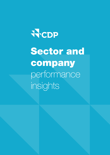# WCDP

Sector and company performance insights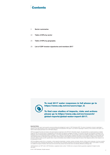

- Sector summaries 3
- Table of KPIs by sector 22
- Table of KPIs by geography 25
- List of CDP investor signatories and members 2017 28



To read 2017 water responses in full please go to https://www.cdp.net/en/users/sign\_in

To find case studies of impacts, risks and actions please go to https://www.cdp.net/en/research/ global-reports/global-water-report-2017.

**Important Notice**<br>The contents of this report may be used by anyone providing acknowledgement is given to CDP Worldwide (CDP). This does not represent a license to repackage or<br>resell any of the lata reported to CDP or th

CDP have prepared the data and analysis in this report based on responses to the CDP 2017 information request. No representation or warranty (express or implied) is given by CDP as to the accuracy or completeness of the information and opinions contained in this report. You should not act upon the information contained in this<br>publication without obtaining specific professional adv consequences of you or anyone else acting, or refraining to act, in reliance on the information contained in this report or for any decision based on it. All information and<br>views expressed herein by CDP [and/or local repo an endorsement of them.

CDP, their affiliated member firms or companies, or their respective shareholders, members, partners, principals, directors, officers and/or employees, may have a position<br>in the securities of the companies discussed herei

'CDP Worldwide' and 'CDP' refer to CDP Worldwide, a registered charity number 1122330 and a company limited by guarantee, registered in England number 05013650.

© 2017 CDP Worldwide. All rights reserved.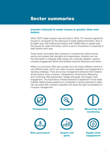# Sector summaries

### Investor interest in water issues is greater than ever before.

When CDP's water program was launched in 2009, 137 investors signed the request to companies for the disclosure of water-related information. Now in its eighth year, 639 institutional investors with US\$69 trillion in assets back the request for water information, which is sent to thousands of companies in eight sectors each year.

These sector summaries allow investors to compare key metrics across sectors and assess their strengths and weaknesses. Investors can use this information to integrate water issues into corporate valuation, support company engagement efforts and facilitate improved disclosure and action.

Water is a local issue. Risks are complex and can impact different sectors in very different ways, which can make company evaluation and engagement a daunting challenge. There are six key management behaviors that investors should expect of any company: Transparency; Governance; Measuring and monitoring; Risk assessment; Targets and goals; and Supply chain engagement. The importance of these behaviors is explained in more detail overleaf. Raising these questions to companies in sectors exposed to water risk can assist with company evaluation and spark the right conversations in company management.

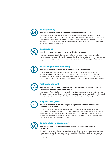

### **Transparency**

### Does the company respond to your request for information via CDP?

Some companies report some water-related metrics in their sustainability reports, but this information is often incomplete and not comparable. CDP offers the only platform for companies to disclose all material water-related information in a standardized format. Disclosing via CDP enables a company to better understand its risk exposure, identify actions to mitigate these risks and seize a competitive advantage.



### Governance

### Does the company have board-level oversight of water issues?

Water governance must be in the boardroom of every major corporation in the world. By providing board members with the information and tools to plan for a transition to a water-secure world and by publicly monitoring progress, water stewardship can become part of companies' modus operandi.



### Measuring and monitoring

### Does the company regularly measure and monitor all water aspects?

As the saying goes, what gets measured gets managed. Robust water accounting data is necessary to inform business planning and forecasting as well as risk identification and response. Companies should regularly measure all water aspects: withdrawals, discharges, quality, consumption, and employee and local access to WASH (Water, Sanitation and Hygiene).



### Risk assessment

Does the company conduct a comprehensive risk assessment at the river basin level across direct operations and supply chain?

Water issues differ greatly from one river basin to another. A company considering its water use alongside the physical, regulatory, social, environmental and temporal context within which it and its suppliers operate, has a far greater chance of understanding and enhancing its resilience.



### Targets and goals

Has the company set or achieved targets and goals that reflect a company-wide commitment or strategy?

Companies must set and achieve ambitious targets to reduce impacts on water availability and quality. Many companies are demonstrating the desire to simultaneously reduce water impacts while increasing their growth. By ensuring these transformational goals are aligned with the water-related needs of the basins upon which they rely, companies can ensure they are playing their part in achieving a water-secure future.



### Supply chain engagement

### Does the company request key suppliers to report on water use, risks and management?

Companies that leverage their procurement power can drive change at greater pace and scale through supply chains. By requesting water-related information from suppliers, purchasers can gather a more complete picture of their water risk exposure, and incentivize sustainable behavior among suppliers.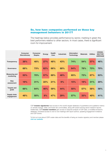### So, how have companies performed on these key management behaviors in 2017?

The heatmap below provides performance by sector, marking in green the best performers relative to other sectors. In most cases, there is significant room for improvement.

|                                    | <b>Consumer</b><br><b>Discretionary</b> | <b>Consumer</b><br><b>Staples</b> | <b>Energy</b> | <b>Health</b><br>Care | <b>Industrials</b> | <b>Information</b><br><b>Technology</b> | <b>Materials</b> | <b>Utilities</b> | <b>CROSS-</b><br><b>SECTOR</b><br><b>AVERAGE</b> |
|------------------------------------|-----------------------------------------|-----------------------------------|---------------|-----------------------|--------------------|-----------------------------------------|------------------|------------------|--------------------------------------------------|
| <b>Transparency</b>                | 38%                                     | 48%                               | 27%           | 48%                   | 43%                | 74%                                     | 54%              | 37%              | 46%                                              |
| Governance                         | 68%                                     | 73%                               | 62%           | 66%                   | 68%                | 64%                                     | 78%              | 73%              | 70%                                              |
| <b>Measuring and</b><br>monitoring | 53%                                     | 70%                               | 57%           | 69%                   | 46%                | 65%                                     | 73%              | 67%              | 63%                                              |
| <b>Risk</b><br>assessment          | 19%                                     | 31%                               | 22%           | 21%                   | 9%                 | 15%                                     | 19%              | 31%              | 20%                                              |
| <b>Targets and</b><br>goals        | 66%                                     | 64%                               | 46%           | 59%                   | 44%                | 50%                                     | 57%              | 58%              | 56%                                              |
| Supply chain<br>engagement         | 48%                                     | 50%                               | 8%            | 47%                   | 29%                | 57%                                     | 33%              | 40%              | 41%                                              |

CDP investor signatories have access to the world's largest database of quantitative and qualitative metrics on climate change, water, and forest risk commodities, along with award-winning sector research reports. Additionally, CDP investor members gain access to bespoke analysis of CDP data, a modelled emissions database, prioritized access to one-to-one meetings with report authors, speaking engagement invitations and CDP events.

To find out more about CDP's water data and the benefits of being an investor signatory and member please visit our website.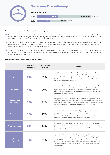### Consumer Discretionary



### How is water material to the Consumer Discretionary sector?

- Water is used in the direct operations of many companies in the Consumer Discretionary sector, which spans a range of activities and products from automotive manufacturing to household durable goods and textiles & apparel. In textiles, water is used for dyeing and bleaching among other things, as well as for cooling, cleaning and painting processes.
- Companies in this sector can face reputational risks due to the potential for water pollution if wastewater is not properly treated. For example, the textiles industry uses thousands of chemicals in its processes, while wastewaters from auto manufacturing can be contaminated with metals, oils and grease, flammable liquids, and paint residuals.
- Water risks along the supply chain are also an important consideration for this sector: textiles companies rely on water for the irrigation of crops such as cotton, and for the irrigation of animal feedstock for leather production. Automotive manufacturers require water to produce component materials such as steel and rubber.

### Performance against key management behaviors

|                                    | <b>Consumer</b><br><b>Discretionary</b> | <b>Cross-sector</b><br>average | <b>Comment</b>                                                                                                                                                                                                                                                                                                                                                                                                                                                                                                                                                         |
|------------------------------------|-----------------------------------------|--------------------------------|------------------------------------------------------------------------------------------------------------------------------------------------------------------------------------------------------------------------------------------------------------------------------------------------------------------------------------------------------------------------------------------------------------------------------------------------------------------------------------------------------------------------------------------------------------------------|
| <b>Transparency</b>                | 38%                                     | 46%                            | Over 300 companies from the Consumer Discretionary sector are requested to disclose<br>water-related information, but just over 100 respond, the third lowest response rate<br>across sectors. This means major retailers, automobile and textile manufacturers may<br>be failing to recognize the significance of water to their business, and the fundamental<br>importance of transparency on these issues.                                                                                                                                                         |
| Governance                         | 68%                                     | <b>70%</b>                     | The sector is slightly below the cross-sector average for board-level oversight, but still<br>outperforms several other sectors. In a small vanguard of 22 companies (19%), the<br>highest responsibility for water sits with a C-suite officer. Investors should encourage<br>water governance at the highest levels of management to ensure integration of water<br>stewardship into business strategy.                                                                                                                                                              |
| <b>Measuring and</b><br>monitoring | 53%                                     | 63%                            | Poor performance here is a cause for significant investor concern given that 77% of<br>companies in this sector report that good quality freshwater is either 'vital' or 'important'<br>for operations. Investors should ask questions about company procedures for measuring<br>and monitoring withdrawals, discharges, consumption and WASH services.                                                                                                                                                                                                                |
| <b>Risk assessment</b>             | 19%                                     | 20%                            | Consumer Discretionary companies are slightly below average when it comes to<br>conducting robust risk assessments. Although 81% say that water risks are assessed,<br>just 26% of these assessments cover direct operations and the supply chain, and even<br>fewer are conducted at the river basin level. This is concerning given the significant water<br>risks faced in this sector, such as reputational risks from water pollution.                                                                                                                            |
| <b>Targets and goals</b>           | 66%                                     | 56%                            | Encouragingly, this sector outperforms all other sectors in the setting of targets and<br>goals. The most common aim is to reduce water consumption, which likely relates to the<br>high levels of freshwater dependence. Investors should encourage long-term, ambitious<br>goals for all companies.                                                                                                                                                                                                                                                                  |
| <b>Supply chain</b><br>engagement  | 48%                                     | 41%                            | Consumer Discretionary is among the top three best performing sectors for this metric,<br>with many companies requiring regular supplier reporting. But still more than half of<br>respondents do not ask suppliers to report on water management practices. Of those<br>that don't, 26% considered supplier engagement to be 'important but not an immediate<br>business priority'. Considering the notoriously complex supply chains of hoteliers, auto<br>and textile manufacturers, investors should help to raise supplier engagement up the<br>corporate agenda. |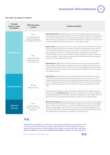Consumer Discretionary



### How water can impact on valuation

| <b>Potential</b><br>impact of water<br>on valuation | <b>CDP</b> data points<br>to watch                                                                     | <b>Company examples</b>                                                                                                                                                                                                                                                                                                                                                                                                                                                                                                                                                                                                                                                                     |
|-----------------------------------------------------|--------------------------------------------------------------------------------------------------------|---------------------------------------------------------------------------------------------------------------------------------------------------------------------------------------------------------------------------------------------------------------------------------------------------------------------------------------------------------------------------------------------------------------------------------------------------------------------------------------------------------------------------------------------------------------------------------------------------------------------------------------------------------------------------------------------|
| <b>Operating costs</b>                              | <b>W4.1a</b><br>The opportunities water<br>presents the organization<br>and strategies to realize them | <b>Caesar Entertainment</b> has identified an opportunity for cost savings through improving its water<br>cooling systems. Its cooling water projects aim to increase the use of recycled water, potentially saving<br>tens of millions of gallons per site per year. Payback for these projects is typically under 2 years and<br>project costs vary by property, but can cost over US\$100,000 each. For example, a project at one site<br>cost around US\$50,000 and reduced water use by 11 million gallons annually.                                                                                                                                                                   |
|                                                     | <b>W9.1a</b><br>Linkages and tradeoffs<br>between water & other                                        | <b>Burberry Group</b> has begun procuring cotton through the Better Cotton Initiative (BCI). The BCI trains<br>farmers to use water efficiently, care for the health of the soil and natural habitats, reduce use of the<br>most impactful chemicals and promote decent work. In Peru, a three-year farmer training program<br>came to completion in March 2017, with farmers reporting a 14% increase in yields and lower<br>environmental impacts, such as a 69% reduction in chemical pesticide use. Farmers also reported a<br>reduction in irrigation, as their practices are becoming more water efficient. Burberry has a target to<br>procure 100% more sustainable cotton by 2022. |
|                                                     | environmental issues                                                                                   | <b>Nissan Motor Co., Ltd.</b> found that more than 20 times as much water was used in its upstream<br>supply chain than by Nissan itself. To address this, the company is seeking to minimize the volume<br>of newly extracted natural resources for vehicle production and seeking alternative sources for fresh<br>water. The company built a rainwater reservoir for process water in facilities in high water risk regions<br>such as Mexico and India.                                                                                                                                                                                                                                 |
| <b>Capital investment</b>                           | <b>W3.2c&amp;d</b><br>Risk and response                                                                | <b>General Motors</b> have found that its non-renewable groundwater wells in the Santiago river basin<br>in Mexico are showing signs of water stress, as some need a day to recover after low flow. With<br>increased production from GM and other manufacturers developing operations in the local area there<br>is concern that adequate well water will not be available in the future. In response, GM will install a<br>near Zero Liquid Discharge system to recycle plant water for reuse at an estimated cost of US\$10<br>million.                                                                                                                                                  |
|                                                     |                                                                                                        | Municipal waste water treatment costs in Drakenstein and Stellenbosch Municipalities increased by<br>10% which increases <b>Distell Group Ltd.</b> 's operating costs. In response, the company constructed a<br>new wastewater treatment plant at its Adam Tas facility in Stellenbosch at a cost of US\$3 million. The<br>plant will pre-treat the waste water before discharging to sewer to reduce treatment charges.                                                                                                                                                                                                                                                                   |
| <b>Volume of</b><br>units sold                      | W1.4a<br>Detrimental impacts<br>relating to water over the<br>reporting year                           | <b>Woolworths Holdings Ltd.</b> experienced supply chain disruption due to drought and unprecedented<br>heat in the Breede-Gouritz river basin. This has affected irrigation rights and impacted the availability<br>and price of fruit for the past three years. In response, Woolworths has engaged with public policy<br>makers, other stakeholders in the river basin, and suppliers. In total, response strategies have cost<br>the company US\$7.5 million. Woolworth Holdings aim to replicate learnings from this project in other<br>water-stressed areas to make farmers more resilient to future climate shocks.                                                                 |

### v.

Tightening regulations in China are increasing challenges for business. Our recent survey of 85 Chinese textile manufacturers found that 88% had to upgrade their factory to avoid being shut down and over half have invested upfront CAPEX of more than US\$300,000 (RMB 2 million) for the upgrades.

Dawn McGregor, China Water Risk

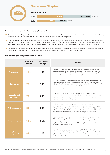### Consumer Staples



### Response rate



### How is water material to the Consumer Staples sector?

- Water is an essential ingredient in the products produced by companies within this sector, covering the manufacturers and distributors of food, beverages and tobacco and producers of non-durable household goods and personal products.
- One of the most substantive risks for companies in this sector lies with the agricultural supply chain. The agricultural sector accounts for some 70% of the world's water consumption, as high-quality water is required for irrigation and the production of feed for livestock. Excessive or poor application of fertilizers and pesticides can lead to nitrate and phosphorus run-offs, polluting waterways and contaminating groundwater.
- For beverage companies, high quality water is a not just an essential ingredient but necessary for brewing, fermenting, distillation and cleaning. For example, cleaning water can account for as much as 70% of overall water use in soft drinks manufacturing.<sup>1</sup>

### Performance against key management behaviors

|                                    | <b>Consumer</b><br><b>Staples</b> | <b>Cross-sector</b><br>average | <b>Comment</b>                                                                                                                                                                                                                                                                                                                                                                                                                                                   |
|------------------------------------|-----------------------------------|--------------------------------|------------------------------------------------------------------------------------------------------------------------------------------------------------------------------------------------------------------------------------------------------------------------------------------------------------------------------------------------------------------------------------------------------------------------------------------------------------------|
| <b>Transparency</b>                | <b>48%</b>                        | 46%                            | The sector performs slightly above average for disclosure, but still over half of the 250<br>companies requested for water-related information do not respond and 12 formally decline<br>to participate. As one of the most water-intensive sectors, investors should engage all<br>companies to be transparent on the water issues they face.                                                                                                                   |
| Governance                         | 73%                               | 70%                            | Consumer Staples outperforms the cross-sector average for board-level oversight of water.<br>However, just 26% of companies entrust responsibility of water to C-suite officers, with the<br>majority leaving this responsibility to an environment or sustainability manager. Given water's<br>fundamental importance to the sector, investors should expect to see buy-in at the highest<br>levels of corporate governance.                                    |
| <b>Measuring and</b><br>monitoring | 70%                               | 63%                            | It is encouraging that a clear majority of companies measure and monitor water<br>withdrawals, discharges, consumption and WASH services. However, monitoring of water<br>discharges lags behind. Companies should recognize the equal importance of tracking<br>discharge volumes and treatment methods.                                                                                                                                                        |
| <b>Risk assessment</b>             | 31%                               | 20%                            | The Consumer Staples sector is the joint-best performer for this metric, but the overall<br>percentage is still too low. While 45% conduct risk assessments that cover direct operations<br>and supply chain and 42% conduct risk assessments at the river basin level, just 31% do<br>both. Investors should emphasize that comprehensive risk assessments that take local<br>context into account are more likely to accurately gauge exposure to water risks. |
| <b>Targets and goals</b>           | 64%                               | 56%                            | This sector is the second-best performer on this metric. Sustainable agriculture is one<br>of the most common goals, with companies implementing farmer training programs and<br>sustainable irrigation techniques. Reduction of product water intensity is the most common<br>target, but investors should push for more ambitious, long-term action where initial water<br>intensity targets have been met easily.                                             |
| <b>Supply chain</b><br>engagement  | 50%                               | 41%                            | Supply chain disruption is the second most reported risk for this sector, yet half of<br>respondents are not proactively engaging with their suppliers. Price and supply shocks to<br>agri-commodities due to water issues can be a major threat to business continuity, and<br>investors should expect companies to have excellent oversight of water in the value chain.                                                                                       |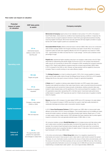Consumer Staples

# am

### How water can impact on valuation

| <b>Potential</b><br>impact of water<br>on valuation | <b>CDP</b> data points<br>to watch                                                                     | <b>Company examples</b>                                                                                                                                                                                                                                                                                                                                                                                                                                                                                                                                                                                                                                      |
|-----------------------------------------------------|--------------------------------------------------------------------------------------------------------|--------------------------------------------------------------------------------------------------------------------------------------------------------------------------------------------------------------------------------------------------------------------------------------------------------------------------------------------------------------------------------------------------------------------------------------------------------------------------------------------------------------------------------------------------------------------------------------------------------------------------------------------------------------|
| <b>Operating costs</b>                              |                                                                                                        | <b>McCormick &amp; Company</b> expect prices of raw materials to rise by about 10 to 20% in the areas of<br>South Pacific Basin, where severe dry conditions have impacted growing conditions. In response, the<br>company has set up support projects for farmers to teach them good agricultural practices including<br>improving irrigation techniques. McCormick have also partnered with drip irrigation providers to supply<br>farmers with modern irrigation systems at a subsidized rate.                                                                                                                                                            |
|                                                     | W1.4a<br>Detrimental impacts<br>relating to water over the<br>reporting year                           | <b>Associated British Foods</b> suffered a financial impact of almost US\$25 million due to two consecutive<br>years of below-average rainfall in the Pongola-Umzimkulu river basin in South Africa. The company's<br>sugarcane quality and yield were negatively affected: the 2015/16 sugarcane crop closed at 4 million<br>tons – approximately one million tons less than the 10-year average – and the cane contained a lower<br>percentage of sugar.                                                                                                                                                                                                   |
|                                                     |                                                                                                        | <b>PepsiCo Inc.</b> experienced higher operating costs due to an increase in water prices in the US. Pepsi<br>responded by implementing site-specific targets. By the end of 2015, the company had reduced its<br>water use per unit of production by almost 26% compared to 2006, exceeding the company's reduction<br>target of 20%. Pepsi's water efficiency programs saved the company approximately US\$19 million<br>in 2015 compared to the 2006 run rate. However, as these savings could be negated by future price<br>increases, Pepsi is currently working on new water efficiency targets.                                                       |
|                                                     | <b>W8.1a&amp;b</b><br>Targets and goals                                                                | The Kellogg Company is on track to achieve its goal for 100% of its in-scope suppliers to measure<br>water use and water quality metrics through the Kellogg Grower Survey by 2020 from a 2015 baseline.<br>Kellogg cites this as a key goal to ensure continuity of supply for agricultural ingredients.                                                                                                                                                                                                                                                                                                                                                    |
|                                                     | W1.3a<br>Proportion of suppliers<br>requested                                                          | L'Oréal asked 31 suppliers to disclose water-related information via CDP's supply chain program.<br>Suppliers were selected according to their water impact factors: water consumed during the production<br>of supplied goods such as aluminum tubes and palm oil derivatives; whether production sites were<br>located in water-stressed areas; and the significance of the volume purchased from suppliers. In 2016,<br>23 organizations responded, representing 28% of all direct spend. Customized water-performance<br>profiles based on suppliers' CDP responses are used for L'Oréal's annual review of suppliers to identify<br>areas for progress. |
| <b>Capital investment</b>                           | <b>W6.4a</b><br>Changes to water-related<br>CAPEX or OPEX                                              | <b>Danone</b> reported a 49% increase in its water-related CAPEX and a 20% decrease in its water-related<br>OPEX. The company's increase in CAPEX was driven by a goal to meet high quality standards for<br>wastewater discharge and achieve water consumption reduction targets.                                                                                                                                                                                                                                                                                                                                                                           |
|                                                     | <b>W3.2c&amp;d</b><br>Risk and response                                                                | In 2016, Coca-Cola European Partners (CCEP) invested over US\$3 million to improve plant water<br>efficiency across sites in the UK, France and Belgium. This included projects such as installing air rinsers,<br>recycle and reclaim systems, and electro-chemically activated water cleaning. Based upon a 1% limit<br>on water supply in areas of water scarcity, CCEP estimates that these measures help to protect against<br>impacts to production that could generate potential losses of US\$4 million or more.                                                                                                                                     |
| <b>Volume of</b><br>units sold                      | <b>W4.1a</b><br>The opportunities water<br>presents the organization<br>and strategies to realize them | UK consumer durables company Reckitt Benckiser aims to increase revenue and help reduce water<br>use in water-scarce countries by expanding sales of products that require less water per dose. For<br>example, the company's liquid handwash product typically uses 60% less water than conventional<br>handwash products due to properties that allow for easier rinsing. In India alone, total net revenue from<br>liquid handwash in 2016 was US\$53 million.                                                                                                                                                                                            |
|                                                     |                                                                                                        | In the clinics and pharmacies of <b>Clicks Group Ltd.</b> stores, it is a regulatory requirement for<br>pharmacists and nurses to have access to warm, clean water to wash hands to prevent the spread<br>of disease. As such, freshwater scarcity could force the closure of these clinics and pharmacies, and<br>the closure of one store in the Clicks business unit can cost around US\$6,000 per day. Clicks Group<br>is exploring alternative freshwater sources at an average cost of US\$3,000 per store and considering<br>implementing a complete black water system <sup>2</sup> , at a cost of approximately US\$325,500.                        |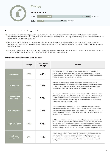|      | <b>Energy</b>        |     |        |           |        |           |
|------|----------------------|-----|--------|-----------|--------|-----------|
| 7. 7 | <b>Response rate</b> |     |        |           |        |           |
|      | 2017                 | 27% |        |           | 37/138 | companies |
|      | 2016<br>29%          |     | 32/109 | companies |        |           |

### How is water material to the Energy sector?

- The extraction of hydrocarbons produces large volumes of water. Smart, safe management of this produced water is both a business opportunity (in that the water can be reinjected for an improved field recovery factor) and a regulatory necessity (in that water contaminated with hydrocarbons must be properly treated).
- For some production techniques such as hydraulic fracturing and oil sands, large volumes of water are essential for the recovery of the resource. Companies should have robust systems for measuring and monitoring this water use, and be aware of water quality and availability issues in the basin.
- Downstream operations such as refining and petrochemicals require water for cooling and steam generation. For this reason, plants are often located near water bodies and rely on these resources for the success of their business.

### Performance against key management behaviors

|                                    | Energy | <b>Cross-sector</b><br>average | Comment                                                                                                                                                                                                                                                                                                                                                                                                                                                                                |
|------------------------------------|--------|--------------------------------|----------------------------------------------------------------------------------------------------------------------------------------------------------------------------------------------------------------------------------------------------------------------------------------------------------------------------------------------------------------------------------------------------------------------------------------------------------------------------------------|
| <b>Transparency</b>                | 27%    | 46%                            | The Energy sector has demonstrated the lowest response rate of all sectors since the<br>inception of CDP's water program. Investors should expect greater transparency from oil<br>and gas majors given the large volumes of water these companies manage on a daily basis,<br>and the well-documented potential for water pollution.                                                                                                                                                  |
| Governance                         | 62%    | 70%                            | The sector is significantly below average for board-level oversight, despite 76% of<br>companies reporting that water is integrated into business strategy. Climate change is now<br>a common topic at the AGMs of energy companies. Investors should ensure that water<br>issues also reach the highest levels of management in these companies.                                                                                                                                      |
| <b>Measuring and</b><br>monitoring | 57%    | 63%                            | The Energy sector deals with large volumes of water daily, and 73% report that freshwater is<br>vital or important to operations. But like other sectors, energy companies have not reached<br>sufficient levels of monitoring of water discharges. Monitoring of water consumption and<br>employee WASH provision is also surprisingly low given that refineries are water-intensive,<br>and employee health and safety is paramount.                                                 |
| <b>Risk assessment</b>             | 22%    | 20%                            | 43% of companies in this sector conduct water risk assessment at the river basin level,<br>beating the cross-sector average, but just 19% conduct an assessment that covers both<br>direct operations and supply chain. Energy companies must get a more complete picture of<br>risks across the value chain, and investors should urge energy companies to factor all these<br>elements into their risk assessments.                                                                  |
| <b>Targets and goals</b>           | 46%    | 56%                            | With less than half of companies setting a water-related target or goal, the sector has not<br>yet woken up to the opportunity that water presents. For example, increasing rates of water<br>recycling and reuse of produced water can improve the field recovery factor and reduce<br>reliance on freshwater resources. Investors should ask if targets for reducing water intensity<br>per barrel of oil equivalent have been set. Just 2 companies reported having these in place. |
| <b>Supply chain</b><br>engagement  | 8%     | 41%                            | The Energy sector has by the lowest rate by far for engagement with the supply chain on<br>water issues. This is concerning, as suppliers to Energy companies such as machinery<br>manufacturers can also be exposed material water risks. Investors should engage with<br>Energy companies to urgently step up efforts to better understand risks across the entire<br>value chain.                                                                                                   |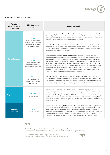**Energy** f

### How water can impact on valuation

| <b>Potential</b><br>impact of water<br>on valuation | <b>CDP</b> data points<br>to watch                                                                     | <b>Company examples</b>                                                                                                                                                                                                                                                                                                                                                                                                                                                                                                                                                                                                                                                                                                                                                                                                                                                                   |
|-----------------------------------------------------|--------------------------------------------------------------------------------------------------------|-------------------------------------------------------------------------------------------------------------------------------------------------------------------------------------------------------------------------------------------------------------------------------------------------------------------------------------------------------------------------------------------------------------------------------------------------------------------------------------------------------------------------------------------------------------------------------------------------------------------------------------------------------------------------------------------------------------------------------------------------------------------------------------------------------------------------------------------------------------------------------------------|
|                                                     | <b>W6.2a</b><br>How water has positively                                                               | Canadian oil & gas producer, <b>Enerplus Corporation</b> , evaluates potential water sources in the initial<br>planning stages of new projects and site expansions to ensure that sufficient, economically feasible<br>water supply is available for both immediate development and the overall development areas life cycle.<br>Only areas with economically viable water supply will be developed.                                                                                                                                                                                                                                                                                                                                                                                                                                                                                      |
|                                                     | influenced business strategy,<br>especially location planning<br>and site expansions                   | <b>Core Laboratories</b> initially invested in its Calgary based facility to reduce the water that is used to<br>cool equipment. This resulted in a 65% reduction in water usage and annual cost savings of over US<br>\$100,000. The approach has since been expanded globally to its other laboratories, helping to reduce<br>water consumption between 43% and 63%.                                                                                                                                                                                                                                                                                                                                                                                                                                                                                                                    |
| <b>Operating costs</b>                              | <b>W4.1a</b><br>The opportunities water<br>presents the organization<br>and strategies to realize them | Portuguese energy company Galp Energia SA identified an opportunity for cost savings and<br>improving environmental performance at its two main downstream sites, the Sines Refinery and the<br>Matosinhos Refinery, as these sites accounted for about 88% of Galp Group's water consumption.<br>The company invested in water recycling and efficiency to reduce fixed costs and reduce the impact<br>of company activities on water resources at a local and regional level. In 2016, Galp recycled more<br>than 2 million m3 of water, around 20% of the total water consumption of the entire Galp Group. The<br>measures that have been implemented in Sines Refinery allowed the recirculation of around 1.28<br>million m3 in 2016, representing savings of about €565,0000. Matosinhos Refinery reused about<br>742,000 m3 of water, yielding savings of approximately €267,000. |
|                                                     | <b>W1.4a</b><br>Detrimental impacts<br>relating to water over the<br>reporting year                    | <b>OMV AG</b> reports that its Produced Water Treatment Plant at the Suplacu de Barcau oilfield in<br>Romania did not meet the applicable standards. The treated, produced water discharged to surface<br>water exceeded the maximum allowable limits for several indicators. Although the fine for exceeding<br>the discharge consent was negligible, the overall financial impact is significant: the company is<br>investing US\$19 million for a new Produced Water Treatment Plant.                                                                                                                                                                                                                                                                                                                                                                                                  |
| <b>Capital investment</b>                           | <b>W3.2c&amp;d</b><br>Risk and response                                                                | <b>Enbridge</b> reports that the risk posed by a spill or leak from its Liquid Pipelines network to a<br>watercourse could result in significant negative impacts to brand image. These impacts could also<br>contribute to delays from regulators in permitting and approving future projects, customer transport<br>disruption and potential litigation. In 2016, US\$750 million was spent on programs that help Enbridge<br>maintain system fitness and detect leaks across operations in Canada and the U.S, including US\$18.5<br>million on leak inspection and survey programs. Over the last three years, investment has totaled more<br>than US\$2.88 billion.                                                                                                                                                                                                                  |
| <b>Volume of</b><br>units sold                      | W1.1<br>Dependence on water                                                                            | Australian oil and gas company Oil Search reports that sufficient amounts of high quality freshwater<br>are vital to the success of the organization. While Oil Search oil and gas processing facilities do not<br>require water to operate, water is required to support drilling operations. Water is also needed for<br>drinking and emergency services at support and base camps. Indirectly, local communities rely on the<br>same freshwater sources and any water restriction could have detrimental health and humanitarian<br>impacts and affect stability and security in the region, potentially disrupting Oil Search operations.                                                                                                                                                                                                                                             |



The industry can help alleviate water shortages and create a new resource for other industries through the development of recycled water.

*The water challenge: Preserving a global resource,* a joint study by Barclays PLC and the Columbia Water Center

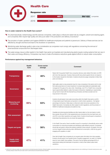### Health Care



### Response rate



### How is water material to the Health Care sector?

- For pharmaceuticals, biotechnology and life sciences companies, water plays a critical and varied role as a reagent, solvent and cleaning agent, and companies often require high quality and ultra-pure water in the production and delivery of products.<sup>3</sup>
- The provision of water, sanitation and hygiene (WASH) for healthcare employees and patients is paramount. Delivery of these services can be affected by drought and flood and lead to the shutdown of operations.
- Monitoring water discharge quality is also a key consideration as companies must comply with regulations concerning the removal of pharmaceutical compounds from discharged water.
- The water-energy nexus is often explicit in the Health Care sector as hospitals and manufacturing plants require cooling systems that can vary in their water and energy efficiency. Companies may have to trade off emissions reductions goals against efforts to reduce water consumption.

### Performance against key management behaviors

|                                    | <b>Health</b><br>Care | <b>Cross-sector</b><br>average | Comment                                                                                                                                                                                                                                                                                                                                                                                                                                                                                                       |
|------------------------------------|-----------------------|--------------------------------|---------------------------------------------------------------------------------------------------------------------------------------------------------------------------------------------------------------------------------------------------------------------------------------------------------------------------------------------------------------------------------------------------------------------------------------------------------------------------------------------------------------|
| <b>Transparency</b>                | 48%                   | 46%                            | Nearly half of requested Health Care companies disclose water-related information via CDP,<br>with nine A list responses. However, there are still many pharma giants that do not respond<br>to the investor request for information. Investors should encourage companies to follow their<br>peers and disclose.                                                                                                                                                                                             |
| Governance                         | 66%                   | 70%                            | High quality water is a key production input for many companies in this sector and it is vital<br>that water governance is in every boardroom to ensure responsible and sustainable water<br>management throughout the value chain. Interestingly, only 57% of Health Care companies<br>report opportunities related to water, the lowest of all sectors. Capitalizing on opportunities<br>can go hand-in-hand with the financial focus of boards, and there is ample room for<br>improvement in this sector. |
| <b>Measuring and</b><br>monitoring | 69%                   | 63%                            | Investors should expect more water accounting within the Health Care sector, as 93%<br>of respondents report freshwater as important or vital for direct operations—the highest<br>percentage of all sectors. Water plays a critical and varied role across operations in the<br>Health Care sector. Companies are often subject to strict regulations, and the provision of<br>WASH for healthcare employees and patients is key.                                                                            |
| <b>Risk assessment</b>             | 21%                   | 20%                            | Hospitals and pharmaceutical facilities are often heavily reliant on the river basins in which<br>they operate. But just 36% of risk assessments are conducted at the river basin level, and<br>only 33% cover direct operations and supply chains. Investors should expect companies to<br>bring these three elements into one robust risk assessment.                                                                                                                                                       |
| <b>Targets and goals</b>           | 59%                   | 56%                            | In the Health Care sector, there is excellent scope for companies to dramatically reduce water<br>consumption by improving processes and developing water-efficient products. Companies<br>should also set goals to reduce the pollution potential of their products. At present, the most<br>common targets include reducing water withdrawal and consumption, while the top goal is<br>engaging with suppliers on water.                                                                                    |
| <b>Supply chain</b><br>engagement  | 47%                   | 41%                            | Over half of Health Care companies do not request water information from their suppliers.<br>Investors should expect much greater levels of supplier engagement, as water is a material<br>issue for many Health Care suppliers. This sector has the highest percentage (84%) of<br>respondents stating that freshwater is important or vital for their indirect (value chain)<br>operations.                                                                                                                 |

12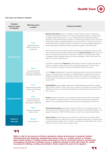

### How water can impact on valuation

| Potential<br>impact of water<br>on valuation | <b>CDP</b> data points<br>to watch                                                                     | <b>Company examples</b>                                                                                                                                                                                                                                                                                                                                                                                                                                                                                                                                                                                                                                                                                                              |
|----------------------------------------------|--------------------------------------------------------------------------------------------------------|--------------------------------------------------------------------------------------------------------------------------------------------------------------------------------------------------------------------------------------------------------------------------------------------------------------------------------------------------------------------------------------------------------------------------------------------------------------------------------------------------------------------------------------------------------------------------------------------------------------------------------------------------------------------------------------------------------------------------------------|
| <b>Operating costs</b>                       | <b>W1.4a</b><br>Detrimental impacts<br>relating to water over the                                      | Mediclinic International operates 10 hospitals in the Berg-Olifants river basin in South Africa, a<br>river basin heavily impacted by drought. The company has developed emergency contingency plans<br>to mitigate possible water disruptions, at a cost of US\$233,000. Plans include drilling additional<br>boreholes to provide sufficient water for operations, commissioning water delivery trucks, and stocking<br>bottled water for patients. Additionally, Mediclinic has worked with the City of Cape Town's water and<br>sanitation directorate to exchange information and collaborate on response strategies. Mediclinic has<br>also launched extensive employee and patient awareness campaigns on water conservation. |
|                                              | reporting year                                                                                         | When local government in the Godavari river basin temporarily cut municipal water supply up to 60%<br>due to severe and continued drought conditions in the area, Johnson & Johnson was forced to truck<br>water from an alternative water source to its operations. In addition, the company began a project<br>to segregate combined wastewater steams and treat them separately, in order to recycle part of the<br>water for non-product critical water use.                                                                                                                                                                                                                                                                     |
|                                              | <b>W4.1a</b>                                                                                           | The ISO50001 standard helped <b>Biogen Inc.</b> 's Hillerød facility in Denmark to identify water efficiency<br>projects. For example, reducing water use in the manufacturing process from 3,500 m3 to below<br>3,250 m3 per batch could deliver cost savings of approximately US\$125,000 per year.                                                                                                                                                                                                                                                                                                                                                                                                                                |
|                                              | The opportunities water<br>presents the organization<br>and strategies to realize them                 | In 2016, <b>Biogen</b> collaborated with a contracted manufacturing partner to improve the manufacturing<br>process of a molecule that is the foundation for a medicine Biogen is developing to treat a rare but<br>debilitating neurological disease. The collaboration resulted in 49% reduction in water usage for the<br>process as well as improving product performance, such as the purity of the active pharmaceutical<br>ingredient (API)."                                                                                                                                                                                                                                                                                 |
| <b>Capital investment</b>                    | <b>W1.4a</b><br>Detrimental impacts relating<br>to water over the reporting<br>year                    | <b>GlaxoSmithKline</b> reported regulatory demand in the Ganges-Brahmaputra river basin to increase<br>water recharge to aquifers to 200% of water used. In response to the changes, the company invested<br>US\$648,000 in equipment to enable aquifer recharging and rainwater harvesting on site and for the<br>local community.                                                                                                                                                                                                                                                                                                                                                                                                  |
|                                              | <b>W4.1a</b><br>The opportunities water<br>presents the organization<br>and strategies to realize them | <b>Novartis</b> identified an opportunity for cost savings by reducing water consumption and increasing<br>quality of effluent at its manufacturing site in Turkey. By installing a reverse osmosis-ultrafiltration<br>system at a cost of US\$600,000, Novartis reduced water use in cooling systems by almost 70%.                                                                                                                                                                                                                                                                                                                                                                                                                 |
|                                              | <b>W6.4a</b><br>Changes to water-related<br>CAPEX or OPEX                                              | <b>Takeda Pharmaceuticals</b> eported a 66% decrease in CAPEX and a 22% decrease in OPEX. Last<br>year, Takeda improved its drainage facilities to prepare for situations of water-related emergency -- this<br>explains the decrease in CAPEX. Its OPEX reduced as a result of newly updated drainage facilities.                                                                                                                                                                                                                                                                                                                                                                                                                   |
| <b>Volume of</b><br>units sold               | <b>W3.2c&amp;d</b><br>Risk and response                                                                | <b>Netcare Limited</b> report that interruptions to water supply in South Africa could impact its ability to<br>provide quality health care to patients, which may have a negative financial impact on business as well<br>as placing the health of patients at risk. In response, the company is investing US\$4.5 million in water<br>tanks that will allow for a 48-hour back up supply of water.                                                                                                                                                                                                                                                                                                                                 |

Water is vital for the success of Roche's operations. Almost all processes in chemical, biotech, pharmaceutical and diagnostic manufacturing involve water as a reagent, solvent or cleaning agent. Roche believes a healthy working environment is vital for successful business and therefore its employees should have unlimited access to sufficient amounts of water that meets the quality necessary for drinking, cooking and sanitation. Roche expects the same of its suppliers.

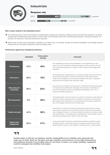### Industrials



### Why is water material to the Industrials sector?

- The Industrials sector covers the production of capital goods: engines and machinery, building products and electrical equipment, as well as transporting and distributing these products. Primary water use is therefore linked with manufacturing processes, cooling and cleaning. For example, the washing of machinery parts before assembly.
- Water issues can also impact Industrials companies in an indirect way. For example, drought and extreme precipitation can damage transport infrastructure and increase maintenance costs and delivery times.

### Performance against key management behaviors

|                                    | <b>Industrials</b> | <b>Cross-sector</b><br>average | <b>Comment</b>                                                                                                                                                                                                                                                                                                                                                                                                                      |
|------------------------------------|--------------------|--------------------------------|-------------------------------------------------------------------------------------------------------------------------------------------------------------------------------------------------------------------------------------------------------------------------------------------------------------------------------------------------------------------------------------------------------------------------------------|
| <b>Transparency</b>                | 43%                | 46%                            | The understanding of water use and management in the Industrials sector is still<br>nascent. Six A-list companies are setting the example, but still the majority of the 261<br>major companies requested do not disclose via CDP. Investors should engage these<br>companies.                                                                                                                                                      |
| Governance                         | 68%                | 70%                            | The Industrials sector is slightly below the cross-sector average. Given that this sector<br>has the lowest percentage of companies completing many key indicators below,<br>investors should engage with and encourage companies in this sector to strengthen<br>water governance throughout their businesses models.                                                                                                              |
| <b>Measuring and</b><br>monitoring | 46%                | 63%                            | A key focus area for investors: among all sectors, Industrials has the lowest percentage<br>of companies tracking withdrawals, discharges and consumption. Additionally, the<br>sector has the highest proportion not evaluating water dependency, with 10% of<br>Industrials companies reporting this.                                                                                                                             |
| <b>Risk assessment</b>             | 9%                 | 20%                            | The Industrials sector scores the lowest of any sector for conducting a robust water risk<br>assessment. Clearly, respondents have not grasped the importance of including both<br>direct operations and supply chain in risk assessments and the pollution impacts that<br>they or their suppliers could have at the river basin level.                                                                                            |
| <b>Targets and goals</b>           | 44%                | 56%                            | Industrials has the lowest rate of target and goal setting across all sectors. Investors<br>should expect companies to have an ambitious public commitment to improving their<br>water management in place. In so doing, companies can achieve cost savings via water<br>and energy efficiency. It is laudable that the Industrials sector has the highest number of<br>goals around providing access to WASH in local communities. |
| <b>Supply chain</b><br>engagement  | 29%                | 41%                            | As the second lowest of all sectors, this performance should be a red flag for investors.<br>Industrials is a sector in which supply chains are complex and often rely on the water-<br>intensive extraction industry for raw materials, for example aluminum, rubber and steel.                                                                                                                                                    |

Cooling water is vital for our business and the sustainability of our activities and represents the major use of water. Both our flat glass and pipe activities need furnaces at very high temperatures, and sufficient amounts of accessible water to cool them. If water is no longer available, equipment could be damaged and activities interrupted.

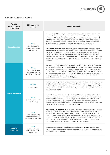

### How water can impact on valuation

| <b>Potential</b><br>impact of water<br>on valuation | <b>CDP</b> data points<br>to watch                                                                     | <b>Company examples</b>                                                                                                                                                                                                                                                                                                                                                                                                                                                                                                                                                                                                                                                                                         |
|-----------------------------------------------------|--------------------------------------------------------------------------------------------------------|-----------------------------------------------------------------------------------------------------------------------------------------------------------------------------------------------------------------------------------------------------------------------------------------------------------------------------------------------------------------------------------------------------------------------------------------------------------------------------------------------------------------------------------------------------------------------------------------------------------------------------------------------------------------------------------------------------------------|
| <b>Operating costs</b>                              | <b>W1.4a</b>                                                                                           | In May and June 2016, unusually heavy rains in the Seine and Loing river basins in France caused<br>large-scale flooding, affecting twenty of Saint-Gobain's industrial and distribution sites and costing<br>approximately US\$3.5 million, a significant portion of which was linked to property damage. Saint-<br>Gobain had already established a Business Continuity Plan before the flooding, which allows the<br>company to anticipate and put in place an efficient crisis unit, in order to reduce the closing time and<br>the loss of revenue. In this instance, most affected sites reopened within less than a week.                                                                                |
|                                                     | Detrimental impacts<br>relating to water over the<br>reporting year                                    | <b>Union Pacific Corporation</b> report that drought in select locations in the USA affected operations.<br>Locations experiencing drought are more vulnerable to fires which cause damage to its tracks, bridges<br>and right of ways. Additionally, the soil consistency in locations experiencing drought can impact<br>infrastructure reliability. To address the fire risk and ensure timely response, Union Pacific works with<br>hundreds of local, municipal and volunteer fire departments to prevent fires along railroad right of way.<br>The company uses spark shields when welding and even uses snow blowers to aid in removal of dry<br>vegetation.                                             |
| <b>Capital investment</b>                           | <b>W4.1a</b><br>The opportunities water<br>presents the organization<br>and strategies to realize them | The price of water has increased by 96% in Romania in the last four years, resulting in significant year-<br>on-year production cost increases for <b>ASSA ABLOY</b> . For example, its three plating lines consume up<br>to 72,000 cubic meters of water per year and when two new plating lines were needed for numerous<br>water re-circulation solutions were explored to save on consumption. Implementing a demineralization<br>technology using ion exchange resins meant that ASSA ABLOY Romania could re-circulate up to 90%<br>of the water consumed, making it possible to install two new plating lines and save US\$58,600 per<br>annum. The solution has a payback period of 1.5 years.           |
|                                                     | <b>W3.2c&amp;d</b><br>Risk and response                                                                | <b>Taisei Corporation</b> report that a significant change in precipitation in Japan would drive up operating<br>costs, for example in preparing special materials and additional labor for draining water out from its<br>construction sites. In response to the risk, the company is investing between US\$5 million and US\$11<br>million per year across its 1,200 construction sites in Japan on waterproof equipment and to drainage<br>for sudden extreme rainfalls.                                                                                                                                                                                                                                     |
|                                                     | <b>W6.4a</b><br>Changes to water-related<br>CAPEX or OPEX                                              | <b>Barloworld</b> reported a 50% increase in its water-related CAPEX between 2015 and 2016 as they<br>invested in water recycling, treatment and rainwater harvesting infrastructure. The investments were<br>made in support of the company's Vision 2020 target of a 10% improvement in water withdrawal<br>intensity by 2020 from a 2015 baseline year. Meanwhile, drought in certain regions negatively<br>impacted volumes of rain water harvested and increased volumes of water withdrawals from municipal<br>sources, contributing to a 19% year on year increase in OPEX.                                                                                                                              |
|                                                     | <b>W4.1a</b><br>The opportunities water<br>presents the organization<br>and strategies to realize them | As part of Stanley Black & Decker, Inc.'s water reduction targets, all facilities are required to upload<br>water reduction project details into an Environment, Health and Safety web platform. 79 projects<br>were added to the 2016 tracking system, including harvesting rain water for gardening and toilet<br>flushing, installation of water saving taps and waterless urinals. This management method is expected<br>to decrease operational costs by US\$30,000 per year, with an investment of US\$71,000. Starting<br>in 2016, the company is also funding ECOSMART sustainability projects with long term returns on<br>investment, that would not be approved under a standard financial approach. |
| <b>Volume of</b><br>units sold                      | <b>W1.4a</b><br>Detrimental impacts<br>relating to water over the<br>reporting year                    | Japanese electrical equipment and machinery company Kubota Corporation report that severe<br>drought in Thailand caused a substantial decline in the sales of compact tractors and engines, forcing<br>them to adjust production volumes.                                                                                                                                                                                                                                                                                                                                                                                                                                                                       |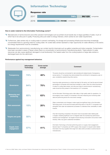### Information Technology



### How is water material to the Information Technology sector?

- Manufacturers of semiconductors and other precision technologies such as printed circuit boards rely on large quantities of water, much of  $\overline{\phantom{0}}$ which has to be ultra-pure in quality. Producing ultra-pure water is energy intensive, which carries its own water requirements.
- Furthermore, data centers rely on cooling water to prevent overheating. As storage and processing infrastructure becomes increasingly concentrated there is a growing need for cooling water. Air cooled data centers represent a major opportunity for water efficiency in the sector, but energy requirements must be considered.
- Wastewater from semiconductor manufacturing can contain harmful chemicals such as gallium arsenide and indium arsenide. Contamination have been recorded in areas of Taiwan where there is a concentration of semiconductor manufacturing plants.<sup>4</sup> Heat pollution to water resources can also cause significant damaged to local biodiversity if the heated water from the cooling systems of large data centers is discharged back into the catchment.

### Performance against key management behaviors

|                                    | Information<br><b>Technology</b> | Cross-sector<br>average | Comment                                                                                                                                                                                                                                                                                                                                                       |
|------------------------------------|----------------------------------|-------------------------|---------------------------------------------------------------------------------------------------------------------------------------------------------------------------------------------------------------------------------------------------------------------------------------------------------------------------------------------------------------|
| <b>Transparency</b>                | 74%                              | 46%                     | The sector should be commended for demonstrating the highest levels of transparency<br>across sectors. IT companies have demonstrated this commitment to transparency year on<br>year, consistently outperforming other sectors.                                                                                                                              |
| Governance                         | 64%                              | 70%                     | Improving water governance is a critical next step for this sector, as it has the second lowest<br>percentage of companies with board-level oversight on water. Given the critical importance<br>of water for cooling data centers, and ultra-pure water for semiconductor manufacturing,<br>water should be firmly present in the boardroom of IT companies. |
| <b>Measuring and</b><br>monitoring | 65%                              | 63%                     | As the Information Technology sector often relies on high quality water for operations, it is<br>encouraging to see a majority of companies in this area measuring and monitoring water<br>data and performing above the cross-sector average.                                                                                                                |
| <b>Risk assessment</b>             | 15%                              | 20%                     | Water contamination and changes in water supply are significant risks to the Information<br>Technology sector. As the second-lowest performing sector in this KPI, IT companies must<br>strengthen their water risk assessment processes to understand their vulnerability to water<br>impacts.                                                               |
| <b>Targets and goals</b>           | 50%                              | 56%                     | Only half of reporting companies in this sector have incorporated water related goals<br>or targets, indicating significant room to integrate water into business key performance<br>indicators and management. Top targets include reducing consumption and product water<br>intensity, while a top goal is watershed remediation.                           |
| <b>Supply chain</b><br>engagement  | 57%                              | 41%                     | Information Technology is the best performing sector on supply chain engagement.<br>Several major IT companies use CDP's supply chain program to request water-related<br>information from key suppliers that range from data center providers to semiconductor<br>manufacturers.                                                                             |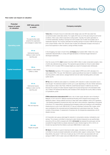Information Technology

# $\bigoplus$

### How water can impact on valuation

| <b>Potential</b><br>impact of water<br>on valuation | <b>CDP</b> data points<br>to watch                                                                     | <b>Company examples</b>                                                                                                                                                                                                                                                                                                                                                                                                                                                                                                                                                                                                                                                                                                                                                                                                                                                |  |  |  |  |  |  |
|-----------------------------------------------------|--------------------------------------------------------------------------------------------------------|------------------------------------------------------------------------------------------------------------------------------------------------------------------------------------------------------------------------------------------------------------------------------------------------------------------------------------------------------------------------------------------------------------------------------------------------------------------------------------------------------------------------------------------------------------------------------------------------------------------------------------------------------------------------------------------------------------------------------------------------------------------------------------------------------------------------------------------------------------------------|--|--|--|--|--|--|
| <b>Operating costs</b>                              | <b>W4.1a</b><br>The opportunities water<br>presents the organization<br>and strategies to realize them | <b>Yahoo Inc.</b> 's Compute Coop air-cooled data center design uses over 90% less water than<br>conventional water-cooled data centers. For roughly 200 hours out of the year during hot and humid<br>conditions, Yahoo uses a direct evaporative cooling system. Typically, the system generates no<br>or minimal wastewater, resulting in savings from both avoided cost of water and avoided cost of<br>wastewater disposal. The company estimates the resulting savings to be about US\$150,000 per year<br>at its Lockport facility in New York. Should costs of water and wastewater increase in the future or<br>prove more expensive in other locations, savings will likely increase.                                                                                                                                                                        |  |  |  |  |  |  |
|                                                     | <b>W1.4a</b><br>Detrimental impacts<br>relating to water over the<br>reporting year                    | In the Dongjiang river basin in South China, LG Display has invested US\$1.7 million into a new<br>wastewater disposal facility to comply with legal standards on Chemical Oxygen Demand of<br>discharged wastewater.                                                                                                                                                                                                                                                                                                                                                                                                                                                                                                                                                                                                                                                  |  |  |  |  |  |  |
|                                                     | <b>W6.4a</b>                                                                                           | Over the course of 2016, <b>Intel</b> invested more than US\$12 million in water conservation projects, many<br>of which also delivered energy savings. This represents approximately four times its water-related<br>CAPEX for 2015. Its water OPEX increased slightly as a result of increased water withdrawals.                                                                                                                                                                                                                                                                                                                                                                                                                                                                                                                                                    |  |  |  |  |  |  |
| <b>Capital investment</b>                           | Changes to water-related<br>CAPEX or OPEX                                                              | <b>Tech Mahindra</b> reported a 15% increase in its water-related CAPEX and a 62% decrease in its<br>water-related OPEX. This year, Tech Mahindra's capital expenditures have been for installation of water<br>recycling systems, water sensors, sewage treatment and rain water harvesting plants, and water<br>quality reports.                                                                                                                                                                                                                                                                                                                                                                                                                                                                                                                                     |  |  |  |  |  |  |
|                                                     | <b>W1.4a</b><br>Detrimental impacts<br>relating to water over the<br>reporting year                    | <b>HP Inc</b> sites in California were subject to a mandatory 20% reduction in water consumption due to<br>local drought. The restrictions lasted 6 months up to a year depending on the site. Similar restrictions<br>were imposed on sites in Sao Paulo. While the overall financial impact in California was minimal<br>because the company hit water reduction targets and incurred savings due to the decreased water<br>use, in Brazil, HP experienced electricity rate increases of 90% because the country relies so heavily<br>on hydroelectric power.                                                                                                                                                                                                                                                                                                        |  |  |  |  |  |  |
| <b>Volume of</b><br>units sold                      | <b>W3.2c&amp;d</b><br>Risk and response                                                                | <b>STMicroelectronics International NV</b> faces a risk of water supply disruption due to flooding in<br>Malaysia. In 2014 and 2015, Malaysia experienced flooding which stopped local pumping at the<br>distribution station. Having sufficient amounts of clean fresh water available is vital to ST's operations<br>- this therefore represents a physical risk which may halt or slow production, depending on the gravity<br>of the flood. ST is responding by developing flood emergency plans and investing in and maintaining<br>infrastructure at a cost of over US\$100,000. ST has put a Business Continuity Plan in place, which<br>was coordinated at the corporate level and implemented and customized at each site. The plan<br>consists of three phases: (1) assessment of business risk; (2) emergencies preparedness; and (3)<br>disaster recovery. |  |  |  |  |  |  |
|                                                     | <b>W8.1a&amp;b</b>                                                                                     | LG Corporation set a group-wide target for reduction in consumptive volumes, motivated by cost<br>savings. The company committed to reducing its water intensity (measured as use quantity/sales<br>amount) by 30% by 2020 compared with 2009. LG Innotek has adopted this same goal, and has<br>exceeded the target timeline by already reducing the water intensity target by 20% in 2016. LG<br>Innotek has reported that this initiative could save US\$9.6million in water costs.                                                                                                                                                                                                                                                                                                                                                                                 |  |  |  |  |  |  |
|                                                     | Targets and goals                                                                                      | <b>SK Hynix</b> committed to a goal of reducing its water usage, motivated by cost savings. They<br>committed to recycle processed wastewater and optimize water usage in cooling towers. Through<br>these efforts, they saved 11,000 tons of water per day in 2016 which was associated with cost<br>savings of US\$417,230 in water costs and US\$2,640,000 in wastewater treatment chemicals.                                                                                                                                                                                                                                                                                                                                                                                                                                                                       |  |  |  |  |  |  |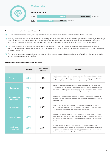### **Materials**



### Response rate



### How is water material to the Materials sector?

The materials sector is very diverse, covering mined materials, chemicals, forest & paper products and construction materials.

- In mining, water is used during extraction, mineral processing and in the transport of excess slurry. Mining and mineral processing is also energy intensive, and water is often required to produce this energy. Water is needed for other processes such as dust suppression, cooling and employee requirements on site. Water pollution from Acid Mine Drainage (AMD) is a significant risk, even after the lifetime of a mine.
- The chemicals sector is highly water intensive: water is used primarily for cooling purposes (90%) but also as a raw material, in cleaning, transport, as a solvent and as part of the final product. The sector faces the risk of spillage of hazardous chemicals which can affect the quality of local water resources.
- For the pulp & paper industry, water is used to create the pulp, flush away unwanted impurities. Industrial effluent from mills can contain toxic and non-biodegradable organic materials.

### Performance against key management behaviors

|                                    | <b>Materials</b> | Cross-sector<br>average | Comment                                                                                                                                                                                                                                                                                                                                                                        |
|------------------------------------|------------------|-------------------------|--------------------------------------------------------------------------------------------------------------------------------------------------------------------------------------------------------------------------------------------------------------------------------------------------------------------------------------------------------------------------------|
| <b>Transparency</b>                | 54%              | 46%                     | This is the second-highest response rate after Information Technology, but is static year-on-<br>year. Many Materials companies are advanced in their water management and reporting,<br>with 15 making this year's water A list. Those not yet disclosing must follow suit.                                                                                                   |
| <b>Governance</b>                  | 78%              | 70%                     | Materials companies beat all other sectors on board-level oversight of water issues and<br>91% report that water is integrated into business strategy. In 21 companies, more than any<br>other sector, the responsibility for water issues lies with the CEO. It is appropriate that in this<br>water-intensive sector water issues permeate the highest levels of governance. |
| <b>Measuring and</b><br>monitoring | 73%              | 63%                     | Encouragingly, the Materials sector is the best performer on measuring and monitoring all<br>aspects of water use. Discharges in particular must be carefully monitored due to the risk of<br>Acid Mine Drainage.                                                                                                                                                              |
| <b>Risk assessment</b>             | 19%              | 20%                     | The sector demonstrates close-to-average performance on this metric, but should be<br>leading the way for risk assessment at the river basin level, particularly mining companies,<br>which can have large impacts on local hydrology and communities.                                                                                                                         |
| <b>Targets and goals</b>           | 57%              | 56%                     | Given strong performance in other areas, Materials companies should step up the ambition<br>of their targets and goals. For example, most companies report targets for a baseline year of<br>2015 and a target year of 2016. Just 16 companies have set target years out to 2025 and<br>beyond.                                                                                |
| <b>Supply chain</b><br>engagement  | 33%              | 41%                     | This below-average performance should be a cause for concern for investors, as<br>reputational risks from water pollution are present up and down the value chain, from the<br>extraction of ores to the use phase of chemicals. Materials companies must consider how<br>suppliers use water to gain a complete picture of risk exposure.                                     |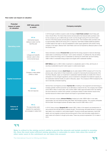

### How water can impact on valuation

| <b>Potential</b><br>impact of water<br>on valuation | <b>CDP</b> data points<br>to watch                                                                     | <b>Company examples</b>                                                                                                                                                                                                                                                                                                                                                                                                                                                                                                                                                                                                                                                                                                             |  |  |  |  |  |
|-----------------------------------------------------|--------------------------------------------------------------------------------------------------------|-------------------------------------------------------------------------------------------------------------------------------------------------------------------------------------------------------------------------------------------------------------------------------------------------------------------------------------------------------------------------------------------------------------------------------------------------------------------------------------------------------------------------------------------------------------------------------------------------------------------------------------------------------------------------------------------------------------------------------------|--|--|--|--|--|
| <b>Operating costs</b>                              | <b>W1.4a</b><br>Detrimental impacts<br>relating to water over the<br>reporting year                    | In 2016 drought conditions caused a water shortage at Gold Fields Limited's South Deep gold<br>mine in South Africa. The mine's three reverse osmosis plants had reduced water purchase costs<br>for the company by up to US\$12,000 per month, but the drought during 2015 and 2016 meant<br>that two of the three reverse osmosis plants were shut down. This increased water purchase costs<br>by approximately US\$120,000 during 2016. In response, Gold Fields installed additional pipelines<br>to better balance the water on site and established a water supply agreement with another mining<br>company in the region, Sibanye Gold. Gold Fields could now be impacted by Sibanye's plans to close<br>the Ezulwini mine. |  |  |  |  |  |
|                                                     | <b>W9.1a</b><br>Linkages and tradeoffs<br>between water & other<br>environmental issues                | Swiss chemicals company <b>Firmenich SA</b> reported that the energy required to treat and discharge<br>waste water is contributing to its Scope 1 and 2 carbon emissions. To address this, they are taking<br>action to reduce the energy used on wastewater by reducing its overall water use and investing<br>US\$15 million to renewable energy projects and targets within wastewater facilities.                                                                                                                                                                                                                                                                                                                              |  |  |  |  |  |
|                                                     |                                                                                                        | <b>BHP Billiton</b> report a US\$1.9 billion investment in a desalination plant in Chile, with the aim of<br>securing a sustainable long-term water supply in a water-scarce region.                                                                                                                                                                                                                                                                                                                                                                                                                                                                                                                                                |  |  |  |  |  |
| <b>Capital investment</b>                           | <b>W6.4a</b><br>Changes to water-related<br>CAPEX or OPEX                                              | Japanese chemicals company <b>Asahi Kasei</b> saw its water-related CAPEX increase by 81% from the<br>previous year, owing mainly to three investments: a project for improving the enclosing bunds of the<br>Hori River, Miyazaki, Japan; an investment in wastewater treatment facility at a textile mill in China in<br>anticipation of more stringent regulations; and an investment to strengthen the treatment capacity of<br>the wastewater treatment facility at a plant in Shizuoka, Japan. The company's OPEX increased by 9%<br>due to biennially-scheduled repairing.                                                                                                                                                   |  |  |  |  |  |
|                                                     | <b>W3.2c&amp;d</b><br>Risk and response                                                                | German flavor and fragrance producer <b>Symrise AG</b> is investing in new equipment and technology to<br>increase synthetic menthol production as an alternative to natural mint oils. The company has invested<br>some US\$12 million in recent years, with a further US\$47 million approved before 2020. By meeting<br>the future demand for menthol with synthetic counterparts instead of water-intensive natural mints,<br>Symrise reduces its indirect water footprint and impact on groundwater resources.                                                                                                                                                                                                                 |  |  |  |  |  |
|                                                     |                                                                                                        | British chemicals company Johnson Matthey invested just under US\$28 million in new sales<br>opportunities, the most advanced being JM's Water Technologies business. The company anticipates<br>that the Water Technologies business will deliver sales of around US\$2 million in 2017.                                                                                                                                                                                                                                                                                                                                                                                                                                           |  |  |  |  |  |
| <b>Volume of</b><br>units sold                      | <b>W4.1a</b><br>The opportunities water<br>presents the organization<br>and strategies to realize them | In 2016, Swiss company Syngenta AG invested US\$1.3 billion in the research and development of<br>new products that will help plants to tolerate drought. This technology will enable farmers to produce<br>high yields in dry conditions or with limited irrigation. Products include seed treatments, hybrid GM<br>seeds, and crop regulator products that promote growth of finer roots that better enable plants to<br>reach water and nutrients in drought prone areas. These new products represented 10% of sales in<br>2016.                                                                                                                                                                                                |  |  |  |  |  |



Water is critical to the mining sector's ability to provide the minerals and metals needed in everyday life. Even the most water-efficient mining operation is vulnerable to water risks when the needs of other water users in the catchment are not taken into account.

The International Council on Mining and Metals

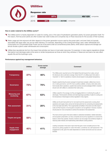### Utilities



### How is water material to the Utilities sector?

- The Utilities sector is heavily dependent on water for cooling, and, in the case of hydroelectric generation plants, for power generation itself. For this reason, thermal power plants are often located near water bodies and companies rely on these resources for the success of their business.
- Water usage and risk exposure will often depend on the power generation source used by the power plant, and even fuels not typically associated with large water use can be water intensive. For example, depending on the cooling technology used, water withdrawals and consumption for Concentrated Solar Power can be of the same order as conventional power plants, while carbon capture and storage can almost double a plant's water withdrawals and consumption.
- Utilities face reputational risk from the impact that activities can have on local water resources. For example, in many regions regulations dictate that plants must discharge water at the same or similar temperatures as those at which they withdrew it. Reservoirs and dams can also affect aquatic life and the hydrologic cycle.

### Performance against key management behaviors

|                                    | <b>Utilities</b> | <b>Cross-sector</b><br>average | <b>Comment</b>                                                                                                                                                                                                                                                                                                                                                                                                                                                                   |
|------------------------------------|------------------|--------------------------------|----------------------------------------------------------------------------------------------------------------------------------------------------------------------------------------------------------------------------------------------------------------------------------------------------------------------------------------------------------------------------------------------------------------------------------------------------------------------------------|
| <b>Transparency</b>                | 37%              | 46%                            | The Utilities sector reported some of the highest financial impacts from water, and yet<br>the disclosure rate is well below average. Given that 81% of utilities report that water is<br>'important' or 'vital' for operations, investors should expect to see greater transparency.                                                                                                                                                                                            |
| Governance                         | 73%              | 70%                            | Despite outperforming the sector average for board level oversight, utilities have more to<br>do on water governance. Just 23% have a publicly available, company-wide water policy<br>that includes direct operations, supplier best practice and acknowledges WASH. Investors<br>should work with utilities to understand their water policy.                                                                                                                                  |
| <b>Measuring and</b><br>monitoring | 67%              | 63%                            | Utilities outperform the average, but they are lagging behind on monitoring the quality of<br>discharges. Thermal plants withdraw and discharge large quantities of water for cooling and<br>the temperature of discharges is strictly regulated in many regions.                                                                                                                                                                                                                |
| <b>Risk assessment</b>             | 31%              | 20%                            | Utilities are the joint best performer for river basin-level risk assessments covering direct<br>operations and supply chain, and by far the best performer for conducting risk assessments<br>at the river basin level (48%). This is appropriate as facilities in this sector are often large in<br>scale and their impacts on local aquatic ecosystems can be significant. However, investors<br>should press for more companies to achieve this standard of risk assessment. |
| <b>Targets and goals</b>           | 58%              | 56%                            | The most common goal in this sector relates to watershed remediation, habitat restoration,<br>and ecosystem preservation, as many companies are bound by regulations to conserve the<br>basins in which they operate. However, investors can encourage more ambitious targets on<br>reducing water intensity and implementing water-efficient cooling systems.                                                                                                                   |
| <b>Supply chain</b><br>engagement  | 40%              | 41%                            | Leading companies in this sector report that they get a more complete picture of risk<br>exposure by asking suppliers for water information, sometimes via a self-assessment. This<br>engagement is vital, given the water-dependence of certain fuel stocks such as coal and<br>biofuels.                                                                                                                                                                                       |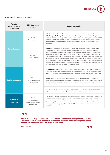

### How water can impact on valuation

| <b>Potential</b><br>impact of water<br>on valuation | <b>CDP</b> data points<br>to watch                                                  | <b>Company examples</b>                                                                                                                                                                                                                                                                                                                                                                                                                                                                                                                                                                                                                                                                                                                                                                                                                                                                                                            |
|-----------------------------------------------------|-------------------------------------------------------------------------------------|------------------------------------------------------------------------------------------------------------------------------------------------------------------------------------------------------------------------------------------------------------------------------------------------------------------------------------------------------------------------------------------------------------------------------------------------------------------------------------------------------------------------------------------------------------------------------------------------------------------------------------------------------------------------------------------------------------------------------------------------------------------------------------------------------------------------------------------------------------------------------------------------------------------------------------|
|                                                     | <b>W3.2c&amp;d</b><br>Risk and response                                             | In 2016, the State of Ceara in Brazil implemented an emergency tax on water, drastically increasing<br><b>EDP- Energias de Portugal S.A.</b> 's operating costs. EDP mitigated the risk by diversifying its<br>portfolio in terms of both energy technology and geography, and the company plans to invest US\$1.4<br>billion per year between 2016 and 2020. EDP is also investing US\$32,000 in its State of Ceara site<br>to increase water efficiency and work with local government to minimize the impact of regulatory<br>restrictions.                                                                                                                                                                                                                                                                                                                                                                                     |
| <b>Operating costs</b>                              | <b>W7.1a &amp; c</b><br>Fines and penalties                                         | <b>Exelon</b> faced an enforcement order of US\$2.1 million at its PHI (Pepco) Benning Service Center<br>in Washington D.C. due to alleged violations of metal limits of the National Pollutant Discharge<br>Elimination System for stormwater discharges. Pepco has acted to resolve the issue by paying a civil<br>penalty of US\$1.6 million, and investing in new infrastructure across the property. The investments<br>include metal absorbing filters at more than 90 storm drain inlets, a covered warehouse for the storage<br>of off-line transformers and other electric equipment, and a new storm water treatment system using<br>filtration technology to be fully operational by the end of 2017. Pepco will also design and construct a<br>new storm water retention structure at the facility to eliminate the storm water discharges from one of<br>the two permitted discharge points into the Anacostia River. |
|                                                     |                                                                                     | <b>ACCIONA SA</b> reported a 464% increase in water-related CAPEX in 2016 compared to 2015 due to<br>investment in a new water treatment business. OPEX increased by 52% over the same period mainly<br>due to a higher volume of business by the company in the field of water treatment and management.                                                                                                                                                                                                                                                                                                                                                                                                                                                                                                                                                                                                                          |
| <b>Capital investment</b>                           | <b>W6.4a</b><br>Changes to water-related<br>CAPEX or OPEX                           | <b>Endesa</b> reports a 142% increase in water-related CAPEX for projects including the upgrade of<br>discharge treatment systems and construction of fish ladders. OPEX increased slightly due to analysis<br>of waste and liquid discharges, maintenance of hydraulic and waste water treatment systems and<br>groundwater monitoring.                                                                                                                                                                                                                                                                                                                                                                                                                                                                                                                                                                                           |
|                                                     |                                                                                     | <b>NRG Energy Inc</b> report that its water CAPEX increased by 344% due to the completion of several<br>large stormwater and wastewater projects in 2016 to address environmental regulations.                                                                                                                                                                                                                                                                                                                                                                                                                                                                                                                                                                                                                                                                                                                                     |
| <b>Volume of</b><br>units sold                      | <b>W1.4a</b><br>Detrimental impacts<br>relating to water over the<br>reporting year | <b>CMS Energy Corporation</b> report that new federal regulations affecting cooling water intake systems<br>and effluent limits in process waters may require infrastructure investments of US\$104 million at its<br>JH Campbell and DE Karn facilities in the St. Lawrence, Lake Michigan and Lake Huron river basins.<br>These new regulations are being challenged in the courts, and reconsidered by the EPA, creating<br>regulatory uncertainty regarding what might ultimately be required and when to comply with these<br>regulations.                                                                                                                                                                                                                                                                                                                                                                                    |

### J

Water is absolutely essential for cooling at our solar thermal energy facilities in the Tajo river basin in Spain. Failure to provide the minimum water flow required for the cooling system would force the plant to shut down.

ACCIONA S.A.

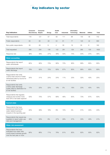# **Key indicators by sector**

| <b>Key Indicators</b>                                                                                            | <b>Consumer</b><br><b>Discretionary</b> | <b>Consumer</b><br><b>Staples</b> | Energy | Health<br>Care | <b>Industrials</b> | <b>Information</b><br><b>Technology</b> | <b>Materials</b> | <b>Utilities</b> | <b>Total</b> |
|------------------------------------------------------------------------------------------------------------------|-----------------------------------------|-----------------------------------|--------|----------------|--------------------|-----------------------------------------|------------------|------------------|--------------|
| Total respondents                                                                                                | 116                                     | 121                               | 37     | 58             | 111                | 96                                      | 155              | 48               | 742          |
| Public respondents                                                                                               | 83                                      | 95                                | 28     | 54             | 81                 | 77                                      | 120              | 42               | 580          |
| Non-public respondents                                                                                           | 33                                      | 26                                | 9      | 4              | 30                 | 19                                      | 35               | 6                | 162          |
| Total requested                                                                                                  | 306                                     | 250                               | 138    | 122            | 261                | 129                                     | 285              | 129              | 1620         |
| Response rate                                                                                                    | 38%                                     | 48%                               | 27%    | 48%            | 43%                | 74%                                     | 54%              | 37%              | 46%          |
| <b>Water accounting</b>                                                                                          |                                         |                                   |        |                |                    |                                         |                  |                  |              |
| Respondents that report<br>water withdrawals                                                                     | 82%                                     | 90%                               | 73%    | 90%            | 73%                | 90%                                     | 89%              | 85%              | 85%          |
| Respondents that report<br>water discharge                                                                       | 78%                                     | 82%                               | 70%    | 83%            | 67%                | 85%                                     | 86%              | 85%              | 80%          |
| Respondents that verify<br>(>50%) total volume of water<br>withdrawal data by source for<br>at risk facilities   | 20%                                     | 31%                               | 24%    | 24%            | 11%                | 23%                                     | 32%              | 40%              | 25%          |
| Respondents that verify<br>(>50%) water discharge<br>quality data by destination for<br>at risk facilities       | 13%                                     | 20%                               | 22%    | 19%            | 5%                 | 18%                                     | 23%              | 40%              | 18%          |
| Respondents that regularly<br>measure and monitor more<br>than 50% of all water aspects*                         | 53%                                     | 70%                               | 57%    | 69%            | 46%                | 65%                                     | 73%              | 67%              | 63%          |
| <b>Current state</b>                                                                                             |                                         |                                   |        |                |                    |                                         |                  |                  |              |
| Respondents that have<br>experienced detrimental<br>water-related business<br>impacts in the reporting year      | 20%                                     | 39%                               | 16%    | 9%             | 15%                | 5%                                      | 31%              | 40%              | 23%          |
| Respondents that require key<br>suppliers to report water use,<br>risks and management                           | 48%                                     | 50%                               | 8%     | 47%            | 29%                | 57%                                     | 33%              | 40%              | 41%          |
| <b>Water risk assessment</b>                                                                                     |                                         |                                   |        |                |                    |                                         |                  |                  |              |
| Respondents that have<br>evaluated how water risks<br>could impact business growth<br>over the next year or more | 80%                                     | 86%                               | 71%    | 76%            | 81%                | 82%                                     | 82%              | 93%              | 82%          |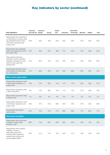# Key indicators by sector (continued)

| <b>Key Indicators</b>                                                                                                                                          | <b>Consumer</b><br><b>Discretionary Staples</b> | Consumer | <b>Energy</b> | Health<br>Care | <b>Industrials</b> | Information<br><b>Technology</b> | <b>Materials</b> | <b>Utilities</b> | Total |
|----------------------------------------------------------------------------------------------------------------------------------------------------------------|-------------------------------------------------|----------|---------------|----------------|--------------------|----------------------------------|------------------|------------------|-------|
| Respondents that undertake a<br>comprehensive company wide<br>risk assessment that covers<br>both direct operations and<br>supply chain                        | 29%                                             | 45%      | 19%           | 33%            | 29%                | 35%                              | 37%              | 40%              | 35%   |
| Respondents that undertake<br>water risk assessments at the<br>river basin scale                                                                               | 31%                                             | 42%      | 43%           | 36%            | 21%                | 24%                              | 37%              | 48%              | 34%   |
| Respondents that factor<br>estimates of future potential<br>regulatory changes at a local<br>level into their water risk<br>assessments                        | 57%                                             | 64%      | 70%           | 64%            | 55%                | 61%                              | 76%              | 83%              | 65%   |
| Respondents that factor local<br>communities into their water<br>risk assessments                                                                              | 71%                                             | 69%      | 76%           | 72%            | 59%                | 68%                              | 84%              | 85%              | 72%   |
| <b>Water risks &amp; opportunities</b>                                                                                                                         |                                                 |          |               |                |                    |                                  |                  |                  |       |
| Respondents exposed to risks<br>in either direct operations or<br>supply chain                                                                                 | 16%                                             | 19%      | 38%           | 12%            | 14%                | 17%                              | 29%              | 38%              | 21%   |
| Respondents exposed to risks<br>in direct operations                                                                                                           | 9%                                              | 13%      | 38%           | 12%            | 11%                | 13%                              | 27%              | 38%              | 18%   |
| Respondents exposed to risks<br>in supply chain                                                                                                                | 7%                                              | 6%       | 0%            | 0%             | 3%                 | 4%                               | 2%               | 0%               | 3%    |
| Respondents exposed to risks<br>in both direct operations and<br>supply chain                                                                                  | 35%                                             | 57%      | 24%           | 38%            | 34%                | 39%                              | 37%              | 33%              | 39%   |
| Respondents that identify<br>opportunities                                                                                                                     | 67%                                             | 75%      | 73%           | 57%            | 68%                | 68%                              | 77%              | 83%              | 71%   |
| <b>Governance &amp; strategy</b>                                                                                                                               |                                                 |          |               |                |                    |                                  |                  |                  |       |
| Respondents with board level<br>oversight of water policy,<br>strategy or plan                                                                                 | 68%                                             | 73%      | 62%           | 66%            | 68%                | 64%                              | 78%              | 73%              | 70%   |
| Respondents with a publicly<br>available, company-<br>wide water policy that<br>includes direct operations,<br>supplier best practice and<br>acknowledges WASH | 28%                                             | 31%      | 14%           | 16%            | 24%                | 27%                              | 19%              | 23%              | 24%   |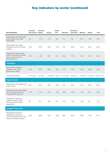### Key indicators by sector (continued)

| <b>Key Indicators</b>                                                                                             | <b>Consumer</b><br><b>Discretionary Staples</b> | <b>Consumer</b> | Energy      | <b>Health</b><br>Care | <b>Industrials</b> | Information<br><b>Technology</b> | <b>Materials</b> | <b>Utilities</b> | <b>Total</b> |
|-------------------------------------------------------------------------------------------------------------------|-------------------------------------------------|-----------------|-------------|-----------------------|--------------------|----------------------------------|------------------|------------------|--------------|
| Respondents that align public<br>policy position with water<br>stewardship                                        | 9%                                              | 11%             | 11%         | 9%                    | 7%                 | 5%                               | 21%              | 19%              | 12%          |
| Respondents with water<br>integrated into their business<br>strategy                                              | 79%                                             | 83%             | 76%         | 76%                   | 74%                | 80%                              | 91%              | 85%              | 82%          |
| Respondents whose water<br>CAPEX and OPEX increased<br>year on year in the last<br>reporting period               | 15%                                             | 14%             | 8%          | 5%                    | 10%                | 17%                              | 12%              | 15%              | 13%          |
| <b>Compliance</b>                                                                                                 |                                                 |                 |             |                       |                    |                                  |                  |                  |              |
| Respondents subject to<br>penalties, fines and/or<br>enforcement orders                                           | 13%                                             | 26%             | 30%         | 10%                   | 17%                | 10%                              | 22%              | 29%              | 19%          |
| Total reported fines                                                                                              | \$10,579,981                                    | \$972,644       | \$4,205,598 | \$10,219              | \$1,203,735        | \$62,045,171                     | \$5,621,957      | \$1,478,570      | \$86,117,876 |
| <b>Targets &amp; goals</b>                                                                                        |                                                 |                 |             |                       |                    |                                  |                  |                  |              |
| Respondents with targets and<br>goals in place                                                                    | 66%                                             | 64%             | 46%         | 59%                   | 44%                | 50%                              | 57%              | 58%              | 56%          |
| Respondents reporting targets<br>with quantitative actions to<br>manage water resources                           | 11%                                             | 11%             | 3%          | 14%                   | 19%                | 18%                              | 11%              | 4%               | 12%          |
| Respondents reporting<br>qualitative goals leading<br>towards improved water<br>stewardship                       | 8%                                              | 8%              | 19%         | 9%                    | 10%                | 15%                              | 18%              | 8%               | 12%          |
| <b>Linkages &amp; trade-offs</b>                                                                                  |                                                 |                 |             |                       |                    |                                  |                  |                  |              |
| Respondents that have<br>identified any linkages or<br>trade-offs between water and<br>other evironmental impacts | 55%                                             | 68%             | 54%         | 60%                   | 48%                | 56%                              | 69%              | 79%              | 61%          |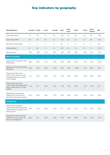# **Key indicators by geography**

| <b>Key Indicators</b>                                                                                          | Australia | Canada         | <b>France</b> | Germany | Japan | South<br>Africa | <b>Taiwan</b> | <b>Turkey</b> | <b>United</b><br>Kingdom | <b>USA</b> |
|----------------------------------------------------------------------------------------------------------------|-----------|----------------|---------------|---------|-------|-----------------|---------------|---------------|--------------------------|------------|
| Total respondents                                                                                              | 18        | 22             | 21            | 26      | 183   | 42              | 20            | 23            | 46                       | 190        |
| Public respondents                                                                                             | 16        | 18             | 16            | 15      | 123   | 35              | 12            | 17            | 43                       | 152        |
| Non-public respondents                                                                                         | 2         | $\overline{4}$ | 5             | 9       | 56    | $\overline{4}$  | 8             | 6             | 3                        | 34         |
| Total requested                                                                                                | 61        | 56             | 41            | 42      | 355   | 63              | 34            | 61            | 76                       | 379        |
| Response rate                                                                                                  | 30%       | 39%            | 51%           | 62%     | 52%   | 67%             | 59%           | 38%           | 61%                      | 50%        |
| <b>Water accounting</b>                                                                                        |           |                |               |         |       |                 |               |               |                          |            |
| Respondents that report water<br>withdrawals                                                                   | 89%       | 95%            | 81%           | 85%     | 80%   | 83%             | 85%           | 70%           | 83%                      | 84%        |
| Respondents that report water<br>discharge                                                                     | 94%       | 95%            | 86%           | 88%     | 84%   | 93%             | 100%          | 87%           | 89%                      | 92%        |
| Respondents that verify<br>(>50%) total volume of water<br>withdrawal data by source for<br>at risk facilities | 11%       | 18%            | 52%           | 19%     | 18%   | 48%             | 60%           | 30%           | 39%                      | 20%        |
| Respondents that verify<br>(>50%) water discharge quality<br>data by destination for at risk<br>facilities     | 11%       | 5%             | 43%           | 19%     | 12%   | 19%             | 60%           | 17%           | 24%                      | 9%         |
| Respondents that regularly<br>measure and monitor more<br>than 50% of all water aspects*                       | 61%       | 82%            | 48%           | 73%     | 66%   | 62%             | 75%           | 78%           | 54%                      | 53%        |
| <b>Current state</b>                                                                                           |           |                |               |         |       |                 |               |               |                          |            |
| Respondents that have<br>experienced detrimental water-<br>related business impacts in the<br>reporting year   | 28%       | 41%            | 38%           | 12%     | 7%    | 64%             | 15%           | 13%           | 30%                      | 24%        |
| Respondents that require key<br>suppliers to report water use,<br>risks and management                         | 39%       | 5%             | 52%           | 42%     | 34%   | 26%             | 60%           | 22%           | 43%                      | 47%        |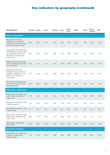# Key indicators by geography (continued)

| <b>Key Indicators</b>                                                                                                                   | Australia Canada |     | <b>France</b> | Germany | Japan | South<br>Africa | <b>Taiwan</b> | <b>Turkey</b> | <b>United</b><br>Kingdom | <b>USA</b> |
|-----------------------------------------------------------------------------------------------------------------------------------------|------------------|-----|---------------|---------|-------|-----------------|---------------|---------------|--------------------------|------------|
| Water risk assessment                                                                                                                   |                  |     |               |         |       |                 |               |               |                          |            |
| Respondents that have<br>evaluated how water risks<br>could impact business growth<br>over the next year or more                        | 67%              | 68% | 71%           | 54%     | 59%   | 71%             | 80%           | 74%           | 72%                      | 70%        |
| Respondents that undertake a<br>comprehensive company wide<br>risk assessment that covers<br>both direct operations and<br>supply chain | 33%              | 18% | 57%           | 46%     | 31%   | 43%             | 55%           | 9%            | 43%                      | 31%        |
| Respondents that undertake<br>water risk assessments at the<br>river basin scale                                                        | 33%              | 27% | 71%           | 31%     | 29%   | 20%             | 39%           | 47%           | 43%                      | 32%        |
| Respondents that factor<br>estimates of future potential<br>regulatory changes at a local<br>level into their water risk<br>assessments | 83%              | 73% | 71%           | 69%     | 56%   | 52%             | 65%           | 70%           | 67%                      | 67%        |
| Respondents that factor local<br>communities into their water<br>risk assessments                                                       | 89%              | 86% | 86%           | 69%     | 68%   | 62%             | 60%           | 70%           | 70%                      | 75%        |
| <b>Water risks &amp; opportunities</b>                                                                                                  |                  |     |               |         |       |                 |               |               |                          |            |
| Respondents exposed to risks<br>in either direct operations or<br>supply chain                                                          | 17%              | 45% | 24%           | 23%     | 17%   | 33%             | 15%           | 22%           | 28%                      | 16%        |
| Respondents exposed to risks<br>in direct operations                                                                                    | 11%              | 45% | 19%           | 12%     | 14%   | 33%             | 10%           | 22%           | 24%                      | 12%        |
| Respondents exposed to risks<br>in supply chain                                                                                         | 6%               | 0%  | 5%            | 12%     | 3%    | 0%              | 5%            | 0%            | 4%                       | 4%         |
| Respondents exposed to risks<br>in both direct operations and<br>supply chain                                                           | 39%              | 27% | 38%           | 12%     | 38%   | 48%             | 55%           | 35%           | 41%                      | 37%        |
| Respondents that identify<br>opportunities                                                                                              | 67%              | 68% | 76%           | 54%     | 65%   | 79%             | 65%           | 70%           | 74%                      | 72%        |
| <b>Governance &amp; strategy</b>                                                                                                        |                  |     |               |         |       |                 |               |               |                          |            |
| Respondents with board level<br>oversight of water policy,<br>strategy or plan                                                          | 72%              | 73% | 81%           | 85%     | 82%   | 86%             | 75%           | 74%           | 89%                      | 51%        |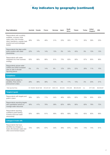# Key indicators by geography (continued)

| <b>Key Indicators</b>                                                                                                                                                | Australia | Canada                  | <b>France</b> | Germany   | Japan    | South<br>Africa | <b>Taiwan</b> | <b>Turkey</b> | <b>United</b><br>Kingdom | <b>USA</b>  |
|----------------------------------------------------------------------------------------------------------------------------------------------------------------------|-----------|-------------------------|---------------|-----------|----------|-----------------|---------------|---------------|--------------------------|-------------|
| Respondents with a publicly<br>available, company-wide<br>water policy that includes<br>direct operations, supplier best<br>practice and acknowledges<br><b>WASH</b> | 28%       | 18%                     | 48%           | 31%       | 23%      | 35%             | 11%           | 35%           | 39%                      | 23%         |
| Respondents that align public<br>policy position with water<br>stewardship                                                                                           | 22%       | 14%                     | 14%           | 15%       | 3%       | 14%             | 45%           | 9%            | 13%                      | 13%         |
| Respondents with water<br>integrated into their business<br>strategy                                                                                                 | 83%       | 86%                     | 86%           | 81%       | 73%      | 83%             | 90%           | 87%           | 85%                      | 86%         |
| Respondents whose water<br>CAPEX and OPEX increased<br>year on year in the last<br>reporting period                                                                  | 0%        | 5%                      | 14%           | 8%        | 12%      | 25%             | 22%           | 26%           | 11%                      | 10%         |
| <b>Compliance</b>                                                                                                                                                    |           |                         |               |           |          |                 |               |               |                          |             |
| Respondents subject to<br>penalties, fines and/or<br>enforcement orders                                                                                              | 28%       | 36%                     | 38%           | 15%       | 4%       | 17%             | 15%           | 0%            | 20%                      | 31%         |
| Total reported fines                                                                                                                                                 |           | \$1,108,653 \$2,827,902 | \$10,337,321  | \$345,140 | \$34,653 | \$130,494       | \$64,000,000  | n/a           | \$717,952                | \$8,408,907 |
| <b>Targets &amp; goals</b>                                                                                                                                           |           |                         |               |           |          |                 |               |               |                          |             |
| Respondents with targets and<br>goals in place                                                                                                                       | 39%       | 32%                     | 71%           | 54%       | 46%      | 60%             | 65%           | 78%           | 65%                      | 62%         |
| Respondents reporting targets<br>with quantitative actions to<br>manage water resources                                                                              | 56%       | 41%                     | 76%           | 58%       | 62%      | 69%             | 90%           | 83%           | 78%                      | 72%         |
| Respondents reporting<br>qualitative goals leading<br>towards improved water<br>stewardship                                                                          | 50%       | 68%                     | 81%           | 69%       | 60%      | 69%             | 70%           | 65%           | 80%                      | 68%         |
| <b>Linkages &amp; trade-offs</b>                                                                                                                                     |           |                         |               |           |          |                 |               |               |                          |             |
| Respondents that have<br>identified any linkages or<br>trade-offs between water and<br>other evironmental impacts                                                    | 72%       | 59%                     | 67%           | 54%       | 48%      | 67%             | 60%           | 74%           | 74%                      | 61%         |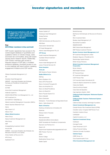### Investor signatories and members

643 financial institutions with assets of US\$69 trillion were signatories to CDP's 2017 water questionnaire, dated February 8th 2017. 639 financial institutions<br>of US\$69 trillion were sig<br>to CDP's 2017 water que<br>dated February 8th 2017.

### Key: 2016 Water members in blue and bold

CDP investor signatories have access to the world's largest database of quantitative and qualitative metrics on climate change, water, and forest risk commodities, along with awardwinning sector research reports. Additionally, CDP investor members gain access to bespoke analysis of CDP data, a modelled emissions database, prioritized access to oneto-one meetings with report authors, speaking engagement invitations and CDP events.

3Sisters Sustainable Management LLC AB Aberdeen Asset Management ABRAPP - Associação Brasileira das Entidades Fechadas de Previdência Complementar Achmea BV ACTIAM Active Earth Investment Management Addenda Capital Inc. AEGON-INDUSTRIAL Fund Management Co., Ltd AGF Investment Inc. AK PORTFÖY YÖNETİMİ A.Ş. Alberta Investment Management Corporation (AIMCo) Alberta Teachers Retirement Fund Alecta Align Impact LLC Alliance Trust Allianz Global Investors Allianz Group Alquity Investment Management Ltd Altira Group AMF AmpegaGerling Investment GmbH Amundi AM ANBIMA – Associação Brasileira das Entidades dos Mercados Financeiro e de Capitais Antera Gestão de Recursos S.A. APG Group

Appleseed Fund

Apsara Capital LLP Arabesque Asset Management Arisaig Partners Arjuna Capital ASM Administradora de Recursos S.A. ASN Bank Assicurazioni Generali Spa ATI Asset Management Atlantic Asset Management Pty Ltd ATP Group Ausbil Investment Management Australian Ethical Investment **AustralianSuper** Avaron Asset Management AS avesco Financial Services AG Aviva Investors Aviva plc BAE Systems Pension Scheme Baillie Gifford & Co. BaltCap Banco Bradesco S/A Banco BTG Pactual SA Banco Comercial Português SA Banco da Amazônia S.A. Banco do Brasil Previdência Banco do Brasil S/A Banco Popular Espanol S.A. Banco Sabadell Banco Santander Banesprev – Fundo Banespa de Seguridade Social Bank J. Safra Sarasin AG

### Bank of America

Bankhaus Schelhammer & Schattera AG Bankinter Banque Libano-Française Barclays Barncancerfonden Basellandschaftliche Kantonalbank BASF Sociedade de Previdência Complementar Baumann and Partners S.A. Bayern LB BayernInvest Kapitalverwaltungsgesellschaft mbH BBC Pension Trust Ltd BBVA Becker College Bedfordshire Pension Fund Beetle Capital

### Bentall Kennedy

BioFinance Administração de Recursos de Terceiros Ltda Blom Investment Bank Bluebay Asset Management LLP Blumenthal Foundation BM&FBOVESPA BMO Global Asset Management BNP Paribas Investment Partners Boston Common Asset Management, LLC

### BP Investment Management Limited

Brasilprev Seguros e Previdência S/A. Breckinridge Capital Advisors British Airways Pensions

### British Columbia Investment Management **Corporation**

Brown Advisory BSW Wealth Partners BT Financial Group BT Investment Management CAAT Pension Plan CAI Corporate Assets International AG Caisse de dépôt et placement du Québec Caisse des Dépôts Caixa Econômica Federal Caixa Geral de Depósitos Caja Ingenieros Gestión, SGIIC California Public Employees' Retirement System (CalPERS) California State Teachers' Retirement System (CalSTRS) California State University, Northridge Foundation Calvert Investment Management, Inc Canada Pension Plan Investment Board (CPPIB) Canadian Labour Congress Staff Pension Fund Candriam Investors Group CAPESESP Capital Innovations, LLC Capricorn Investment Group **CareSuper** Carnegie Fonder Caser Pensiones E.G.F.P Cathay Financial Holding Catherine Donnelly Foundation Catholic Super CBRE Group, Inc.

Cbus Superannuation Fund CCLA Investment Management Ltd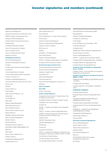#### Celeste Funds Management

Central Finance Board of the Methodist Church CERES-Fundação de Seguridade Social Change Investment Management Christian Brothers Investment Services Inc. Christian Super Christopher Reynolds Foundation Church Commissioners for England Church Investment Group Church of England Pensions Board Cleantech Invest AG

### ClearBridge Investments

CM-CIC Asset Management Columbia Threadneedle Investments Comgest Comite syndical national de retraite Bâtirente **Comminsure** Commonwealth Bank of Australia Commonwealth Superannuation Corporation Compton Foundation, Inc. Confluence Capital Management LLC Connecticut Retirement Plans and Trust Funds Conser Invest CPR AM Crayna Capital, LLC Credit Agricole CTBC Financial Holding Co., Ltd Cultura Bank CUT POWER AG Daegu Bank Daesung Capital Management Daiwa Securities Group Inc. Dana Investment Advisors de Pury Pictet Turrettini & Cie S.A. Degroof Petercam DekaBank Deutsche Girozentrale Delta Lloyd Asset Management Demeter Partners Deutsche Bank AG Development Bank of Japan Inc. DLM INVISTA ASSET MANAGEMENT S/A DNB ASA DNR Capital Domini Impact Investments LLC Dongbu Insurance DoubleDividend Management BV Doughty Hanson & Co.

Earth Capital Partners LLP East Capital AB Ecofi Investissements - Groupe Credit Cooperatif Ecofin Limited EdenTree Investment Management Edmond de Rothschild Asset Management Edward W. Hazen Foundation EEA Group Ltd EGAMO Ekobanken - Din Medlemsbank Elan Capital Partners Element Investment Managers ELETRA - Fundação Celg de Seguros e Previdência Elo Mutual Pension Insurance Company Environment Agency Pension fund

Environmental Investment Services Asia Epworth Investment Management Equilibrium Capital Group equinet Bank AG Erste Asset Management Erste Group Bank AG Essex Investment Management Company, LLC **ESSSuper** Ethos Foundation

Etica SGR Eureka - Real Assets

#### Eurizon Capital SGR S.p.A.

Evangelical Lutheran Church in Canada Pension Plan for Clergy and Lay Workers Evangelical Lutheran Foundation of Eastern Canada Evangelisch-Luth. Kirche in Bayern

Evli Bank Plc

FACEB – Fundação de Previdência dos Empregados da CEB

FAELCE – Fundacao Coelce de Seguridade Social FAPERS- Fundação Assistencial e Previdenciária da Extensão Rural do Rio Grande do Sul Federal Finance FIDURA Private Equity Fonds

FIM Asset Management Ltd

FIM Services Finance S.A.

Financiere de l'Echiquier

FIPECq - Fundação de Previdência Complementar dos Empregados e Servidores da FINEP, do IPEA, do CNPq

First Affirmative Financial Network

First State Superannuation Scheme

First Swedish National Pension Fund (AP1)

Florida State Board of Administration (SBA) Folketrygdfondet

Folksam Ömsesidig Sakförsäkring

Fondation de Luxembourg

Fondo Pegaso

Fonds de Réserve pour les Retraites – FRR

Formuesforvaltning AS

Foundation North FRANKFURT-TRUST Investment Gesellschaft mbH

Friends Fiduciary Corporation

Fukoku Capital Management Inc

FUNCEF - Fundação dos Economiários Federais

Fundação AMPLA de Seguridade Social - Brasiletros

Fundação Atlântico de Seguridade Social

Fundação Banrisul de Seguridade Social

#### Fundação Chesf de Assistência e Seguridade Social – Fachesf

Fundação Corsan - dos Funcionários da Companhia Riograndense de Saneamento

#### Fundação de Assistência e Previdência Social do BNDES - FAPES

FUNDAÇÃO ELETROBRÁS DE SEGURIDADE SOCIAL - ELETROS

Fundação GEAP Previdência Fundação Itaipu BR - de Previdência e Assistência Social

### FUNDAÇÃO ITAUBANCO

Fundação Itaúsa Industrial Fundação Rede Ferroviaria de Seguridade Social – Refer

FUNDAÇÃO SANEPAR DE PREVIDENCIA E ASSISTENCIA SOCIAL FUSAN

Fundação Sistel de Seguridade Social (Sistel) Fundação Vale do Rio Doce de Seguridade Social - VALIA

FUNDIÁGUA - FUNDAÇÃO DE PREVIDENCIA COMPLEMENTAR DA CAESB

Futuregrowth Asset Management

GameChange Capital LLC

Gemway Assets

### Generation Investment Management

Genus Capital Management German Equity Trust AG Global Forestry Capital S.a.r.l. Globalance Bank GLS Gemeinschaftsbank eG GMO LLC GOOD GROWTH INSTITUT für globale Vermögensentwicklung mbH Good Super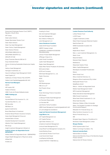Government Employees Pension Fund ("GEPF"), Republic of South Africa GPT Group Great Lakes Advisors Greater Manchester Pension Fund Green Alpha Advisors Green Cay Asset Management Green Century Capital Management Green Science Partners GROUPAMA EMEKLİLİK A.Ş. GROUPAMA SİGORTA A.Ş. GROUPE OFI AM Grupo Financiero Banorte SAB de CV Grupo Santander Brasil Hannon Armstrong Sustainable Infrastructure Capital, Inc Harbour Asset Management Harrington Investments, Inc Hauck & Aufhäuser Asset Management GmbH Hazel Capital LLP Healthcare of Ontario Pension Plan (HOOPP) Helaba Invest Kapitalanlagegesellschaft mbH Hermes Fund Managers **HESTA** HIP Investor INC.

HSBC Holdings plc

HSBC Fundo de Pensão Multipatrocinado

Holden & Partners

Humanis Hyundai Marine & Fire Insurance Co., Ltd. Hyundai Securities Co., Ltd. IBK Securities IDBI Bank Ltd Iguana Investimentos Illinois State Board of Investment Ilmarinen Mutual Pension Insurance Company Impax Asset Management Group plc Industrial Bank of Korea Industrial Development Corporation Inflection Point Capital Management ING Group Insight Investment Management (Global) Ltd Instituto Infraero de Seguridade Social - **INFRAPREV** 

### Instituto Sebrae De Seguridade Social - SEBRAEPREV Integre Wealth Management of Raymond James IntReal KAG Investec plc

Investing for Good Irish Life Investment Managers Itaú Asset Management Itaú Unibanco Holding S.A. Jantz Management LLC Janus Henderson Investors

Jessie Smith Noyes Foundation JMEPS Trustees Limited JOHNSON & JOHNSON SOCIEDADE PREVIDENCIARIA Johnson Private Wealth Management JPMorgan Chase & Co. Jubitz Family Foundation Jupiter Asset Management Kagiso Asset Management Kaiser Ritter Partner Privatbank AG (Schweiz) KB Kookmin Bank KCPS and Company KDB Asset Management Co., Ltd. Kepler Cheuvreux KEVA KeyCorp KfW Bankengruppe Killik & Co LLP Kiwi Property Group

### KLP

Korea Technology Finance Corporation KPA Pension La Banque Postale Asset Management La Financiere Responsable La Francaise AM Laird Norton Family Foundation LBBW Asset Management Investmentgesellschaft mbH LD Lønmodtagernes Dyrtidsfond Legal and General Investment Management Legg Mason, Inc.

LGT Capital Management Ltd. LGT Capital Partners Light Green Advisors, LLC Limestone Investment Management Liontrust Asset Management PLC Living Planet Fund Management Company S.A. Lloyds Banking Group Local Authority Pension Fund Forum Local Government Super LocalTapiola (LähiTapiola) LOGOS PORTFÖY YÖNETIMI A.Ş.

#### London Pensions Fund Authority

Lothian Pension Fund LUCRF Super Ludgate Investments Limited Maine Public Employees Retirement System MainFirst Bank AG MAMA Sustainable Incubation AG **MAPERE** Maple-Brown Abbott Marc J. Lane Investment Management, Inc. Martin Currie Maryknoll Sisters Maryland State Treasurer Mediobanca Meeschaert Gestion Privée Mellon Capital Management Mendesprev Sociedade Previdenciária Mercer Merck Family Fund Mercy Investment Services, Inc. Mergence Africa Investments (Pty) Limited Merseyside Pension Fund MetallRente GmbH Metrus – Instituto de Seguridade Social Metzler Asset Management GmbH MFS Investment Management Midas International Asset Management Miller/Howard Investments Mirae Asset Global Investments Co. Ltd. Mirae Asset Securities Missionary Oblates of Mary Immaculate Mistra, The Swedish Foundation for Strategic Environmental Research Mitsubishi UFJ Financial Group, Inc. Mitsui Sumitomo Insurance Co.,Ltd Mizuho Financial Group, Inc. MN Mongeral Aegon Seguros e Previdência S.A. Montanaro Asset Management Limited Morgan Stanley MTAA Superannuation Fund Nathan Cummings Foundation, The National Australia Bank National Bank of Canada

National Grid Electricity Group of the Electricity Supply Pension Scheme National Grid UK Pension Scheme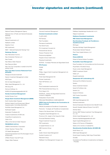#### National Treasury Management Agency

National Union of Public and General Employees (NUPGE) Natixis SA Natural Investments LLC Nedbank Limited Needmor Fund NEI Investments NEST - National Employment Savings Trust Neuberger Berman

New Alternatives Fund Inc. New Amsterdam Partners LLC New Forests New Mexico State Treasurer New Resource Bank New York City Comptroller on behalf of the NYC pension funds New York State Common Retirement Fund

### (NYSCRF)

Newground Social Investment Newton Investment Management Limited NGS Super NH-CA Asset Management Nikko Asset Management Co., Ltd. NN Group NV Nomura Holdings, Inc. NORD/LB Kapitalanlagegesellschaft AG Nordea Investment Management Norfolk Pension Fund

#### Norges Bank Investment Management (NBIM)

North Carolina State Treasurer Northern Ireland Local Government Officers' Superannuation Committee (NILGOSC) NorthStar Asset Management, Inc. Northward Capital Notenstein Privatbank AG

Oceana Investimentos ACVM Ltda OceanRock Investments Inc. Oddo & Cie Office of the Vermont State Treasurer

### ÖKOWORLD LUX S.A.

OMERS Administration Corporation Ontario Teachers' Pension Plan OP Wealth Management Opplysningsvesenets fond (The Norwegian Church Endowment) OPSEU Pension Trust (OP Trust) Oregon State Treasurer

#### Osmosis Investment Management

#### Overlook Investments Limited

P+(DIP/JOEP) PAI Partners Park Foundation Parnassus Investments Pax World Funds PCJ Investment Counsel Ltd. Pensioenfonds Vervoer Pension Protection Fund Pensionsmyndigheten People's Choice Credit Union Perpetual Investments PETROS - Fundação Petrobras de Seguridade Social PFA Pension

PGGM PGIM Phillips, Hager & North Investment Management Ltd. **PHITRUST** Pictet Asset Management SA Pioneer Investments Piper Hill Partners, LLC PKA Pluris Sustainable Investments SA PNC Financial Services Group, Inc. Porto Seguro S.A. POSTALIS - Instituto de Seguridade Social dos Correios e Telégrafos Presbyterian Church (USA)

PREVHAB PREVIDÊNCIA COMPLEMENTAR

### PREVI Caixa de Previdência dos Funcionários do Banco do Brasil

PREVIG Sociedade de Previdência Complementar Previnorte - Fundação de Previdência Complementar Priests of the Sacred Heart, US Province Progressive Asset Management, Inc. Province of St. Joseph of the Capuchin Order Provinzial Rheinland Holding Psagot Investment House Ltd PSP Investments Q Capital Partners Co. Ltd QBE Insurance Group  $\cap$ IC Quilter Cheviot Asset Management Quotient Investors LLC Rabobank Group Raiffeisen Fund Management Hungary Ltd.

Raiffeisen Kapitalanlage-Gesellschaft m.b.H.

Railpen Investments

### Rathbone Greenbank Investments

RBC Global Asset Management

### Real Grandeza Fundação de Previdência e Assistência Social

REI Super Reynders McVeigh Capital Management Rhode Island General Treasurer River Twice Capital Advisors, LLC

#### Robeco RobecoSAM AG

Robert & Patricia Switzer Foundation

#### Rockefeller Asset Management

Rose Foundation for Communities and the Environment Royal Bank of Scotland Group Royal London Asset Management RREEF Investment GmbH Ruffer LLP Russell Investments

#### Sampension KP Livsforsikring A/S

Samsung Fire & Marine Insurance Sanlam Sanso Investment Solution Santa Fé Portfolios Ltda Santam Ltd Sarasin & Partners SAS Trustee Corporation **Schroders** SEB Asset Management AG Sentinel Investments Service Employees International Union Benefit Funds Seventh Swedish National Pension Fund (AP7)

Shinhan Bank Shinhan BNP Paribas Investment Trust Management Co., Ltd.

Shinkin Asset Management Co., Ltd

Siemens Kapitalanlagegesellschaft mbH

Signet Capital Management Ltd

Sisters of St Francis of Philadelphia

Sisters of St. Dominic of Caldwell NJ

#### Skandinaviska Enskilda Banken AB (SEB AB)

Smith Pierce, LLC SNW Asset Management Social Impact Investing, Wells Fargo Private Bank Social(k) Sociedade de Previdência Complementar da Dataprev - Prevdata